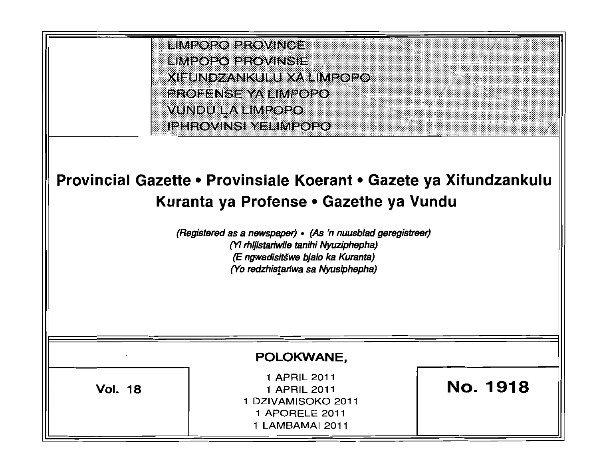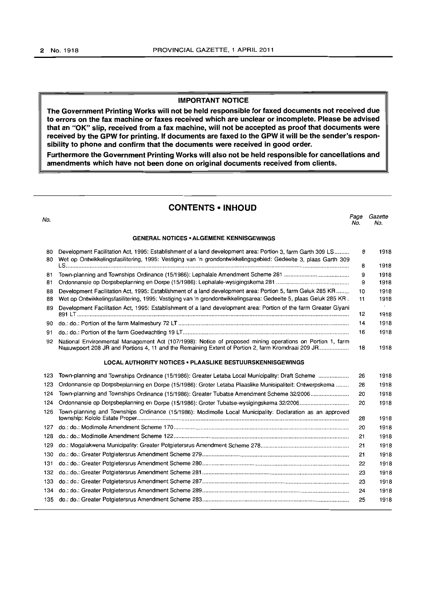### IMPORTANT NOTICE

The Government Printing Works will not be held responsible for faxed documents not received due to errors on the fax machine or faxes received which are unclear or incomplete. Please be advised that an "OK" slip, received from a fax machine, will not be accepted as proof that documents were received by the GPW for printing. If documents are faxed to the GPW it will be the sender's responsibility to phone and confirm that the documents were received in good order.

Furthermore the Government Printing Works will also not be held responsible for cancellations and amendments which have not been done on original documents received from clients.

### CONTENTS • INHOUD

Page Gazette

No.

| VO.      |                                                                                                                                                                                                                              | No. | No.  |
|----------|------------------------------------------------------------------------------------------------------------------------------------------------------------------------------------------------------------------------------|-----|------|
|          | <b>GENERAL NOTICES • ALGEMENE KENNISGEWINGS</b>                                                                                                                                                                              |     |      |
| 80<br>80 | Development Facilitation Act, 1995: Establishment of a land development area: Portion 3, farm Garth 309 LS<br>Wet op Ontwikkelingsfasilitering, 1995: Vestiging van 'n grondontwikkelingsgebied: Gedeelte 3, plaas Garth 309 | 8   | 1918 |
|          |                                                                                                                                                                                                                              | 8   | 1918 |
| 81       |                                                                                                                                                                                                                              | 9   | 1918 |
| 81       |                                                                                                                                                                                                                              | 9   | 1918 |
| 88       | Development Facilitation Act, 1995: Establishment of a land development area: Portion 5, farm Geluk 285 KR                                                                                                                   | 10  | 1918 |
| 88       | Wet op Ontwikkelingsfasilitering, 1995: Vestiging van 'n grondontwikkelingsarea: Gedeelte 5, plaas Geluk 285 KR.                                                                                                             | 11  | 1918 |
| 89       | Development Facilitation Act, 1995: Establishment of a land development area: Portion of the farm Greater Givani                                                                                                             | 12  | 1918 |
| 90       |                                                                                                                                                                                                                              | 14  | 1918 |
| 91       |                                                                                                                                                                                                                              | 16  | 1918 |
| 92       | National Environmental Management Act (107/1998): Notice of proposed mining operations on Portion 1, farm<br>Naauwpoort 208 JR and Portions 4, 11 and the Remaining Extent of Portion 2, farm Kromdraai 209 JR               | 18  | 1918 |
|          | <b>LOCAL AUTHORITY NOTICES • PLAASLIKE BESTUURSKENNISGEWINGS</b>                                                                                                                                                             |     |      |
| 123      | Town-planning and Townships Ordinance (15/1986): Greater Letaba Local Municipality: Draft Scheme                                                                                                                             | 26  | 1918 |
| 123      | Ordonnansie op Dorpsbeplanning en Dorpe (15/1986): Groter Letaba Plaaslike Munisipaliteit: Ontwerpskema                                                                                                                      | 26  | 1918 |
| 124      | Town-planning and Townships Ordinance (15/1986): Greater Tubatse Amendment Scheme 32/2006                                                                                                                                    | 20  | 1918 |
| 124      |                                                                                                                                                                                                                              | 20  | 1918 |
| 126      | Town-planning and Townships Ordinance (15/1986): Modimolle Local Municipality: Declaration as an approved                                                                                                                    | 28  | 1918 |
| 127      |                                                                                                                                                                                                                              | 20  | 1918 |
| 128      |                                                                                                                                                                                                                              | 21  | 1918 |
| 129      |                                                                                                                                                                                                                              | 21  | 1918 |
| 130      |                                                                                                                                                                                                                              | 21  | 1918 |
| 131      |                                                                                                                                                                                                                              | 22  | 1918 |
| 132      |                                                                                                                                                                                                                              | 23  | 1918 |
| 133      |                                                                                                                                                                                                                              | 23  | 1918 |
|          |                                                                                                                                                                                                                              | 24  | 1918 |
|          |                                                                                                                                                                                                                              | 25  | 1918 |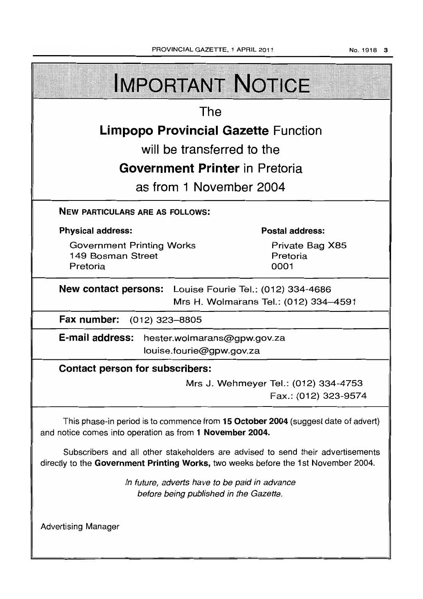**IMPORTANT NOTICE** The **Limpopo Provincial Gazette** Function will be transferred to the **Government Printer** in Pretoria as from 1 November 2004 NEW PARTICULARS ARE AS FOLLOWS: Physical address: Postal address: Government Printing Works Private Bag X85 149 Bosman Street Pretoria Pretoria 0001 New contact persons: Louise Fourie Tel.: (012) 334-4686 Mrs H. Wolmarans Tel.: (012) 334-4591 Fax number: (012) 323-8805 E-mail address: hester.wolmarans@gpw.gov.za louise. fourie@gpw.gov.za Contact person for subscribers: Mrs J. Wehmeyer Tel.: (012) 334-4753 Fax.: (012) 323-9574 This phase-in period is to commence from 15 October 2004 (suggest date of advert) and notice comes into operation as from 1 November 2004.

Subscribers and all other stakeholders are advised to send their advertisements directly to the Government Printing Works, two weeks before the 1st November 2004.

> In future, adverts have to be paid in advance before being published in the Gazette.

Advertising Manager

No.1918 3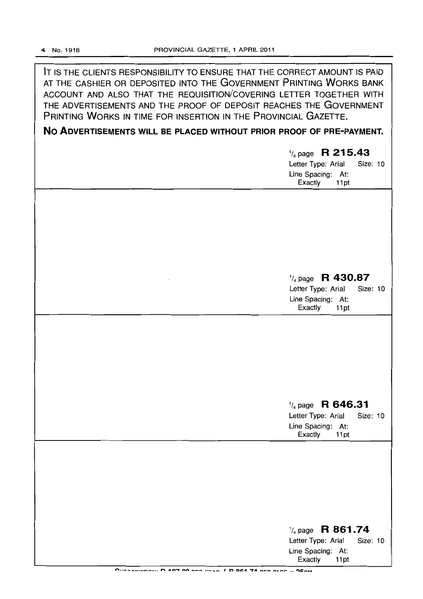IT IS THE CLIENTS RESPONSIBILITY TO ENSURE THAT THE CORRECT AMOUNT IS PAID AT THE CASHIER OR DEPOSITED INTO THE GOVERNMENT PRINTING WORKS BANK ACCOUNT AND ALSO THAT THE REQUISITION/COVERING LETTER TOGETHER WITH THE ADVERTISEMENTS AND THE PROOF OF DEPOSIT REACHES THE GOVERNMENT PRINTING WORKS IN TIME FOR INSERTION IN THE PROVINCIAL GAZETTE.

**No ADVERTISEMENTS WILL BE PLACED WITHOUT PRIOR PROOF OF PRE-PAYMENT.** 

1/4 page **R 215.43**  Letter Type: Arial Size: 10 Line Spacing: At: Exactly 11 pt

## 1/4 page **R 430.87**

Letter Type: Arial Size: 10 Line Spacing: At:<br>Exactly 11pt Exactly

# 1/4 page **R 646.31**

Letter Type: Arial Size: 10 Line Spacing: At:<br>Exactly 11pt **Exactly** 

| $\frac{1}{4}$ page R 861.74 |          |
|-----------------------------|----------|
| Letter Type: Arial          | Size: 10 |
| Line Spacing: At:           |          |
| Exactly<br>11pt             |          |

<sup>~</sup>.. ----. \_\_ .\_ .. ~ .. **<sup>n</sup>40..., on \_\_ ...... , ........... <sup>I</sup>0 Ol:!1 "'7'JI \_ .... \_\_ .. ,..,... \_ "'1:\_ ...**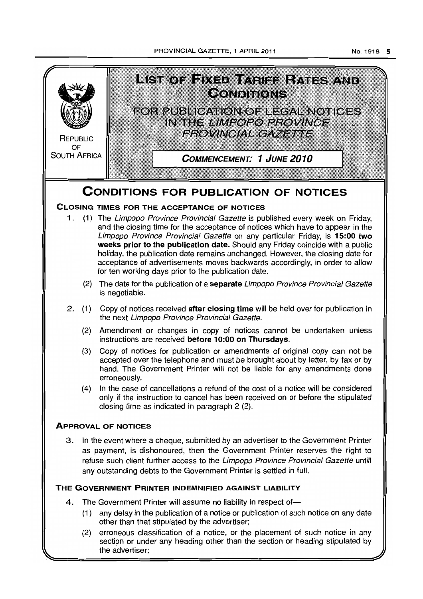PROVINCIAL GAZETTE, 1 APRIL 2011

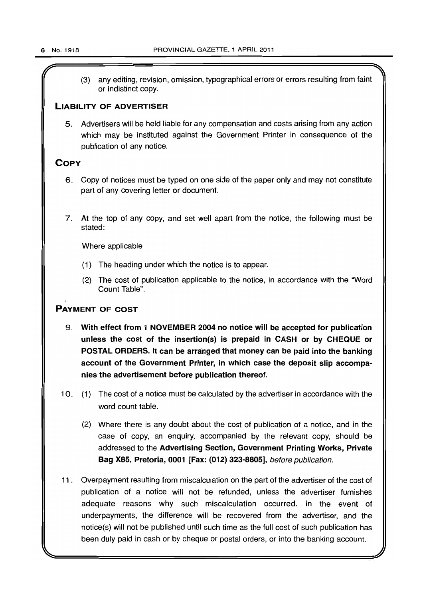$\mathcal{L}$   $\mathcal{L}$   $\mathcal{L}$   $\mathcal{L}$   $\mathcal{L}$   $\mathcal{L}$   $\mathcal{L}$   $\mathcal{L}$   $\mathcal{L}$   $\mathcal{L}$   $\mathcal{L}$   $\mathcal{L}$   $\mathcal{L}$   $\mathcal{L}$   $\mathcal{L}$   $\mathcal{L}$   $\mathcal{L}$   $\mathcal{L}$   $\mathcal{L}$   $\mathcal{L}$   $\mathcal{L}$   $\mathcal{L}$   $\mathcal{L}$   $\mathcal{L}$   $\mathcal{$ (3) any editing, revision, omission, typographical errors or errors resulting from faint or indistinct copy.

### LIABILITY OF ADVERTISER

5. Advertisers will be held liable for any compensation and costs arising from any action which may be instituted against the Government Printer in consequence of the publication of any notice.

### **COPY**

- 6. Copy of notices must be typed on one side of the paper only and may not constitute part of any covering letter or document.
- 7. At the top of any copy, and set well apart from the notice, the following must be stated:

Where applicable

- (1) The heading under which the notice is to appear.
- (2) The cost of publication applicable to the notice, in accordance with the "Word Count Table".

### PAYMENT OF COST

- 9. With effect from 1 NOVEMBER 2004 no notice will be accepted for publication unless the cost of the insertion(s) is prepaid in CASH or by CHEQUE or POSTAL ORDERS. It can be arranged that money can be paid into the banking account of the Government Printer, in which case the deposit slip accompanies the advertisement before publication thereof.
- 10. (1) The cost of a notice must be calculated by the advertiser in accordance with the word count table.
	- (2) Where there is any doubt about the cost of publication of a notice, and in the case of copy, an enquiry, accompanied by the relevant copy, should be addressed to the Advertising Section, Government Printing Works, Private Bag X85, Pretoria, 0001 [Fax: (012) 323-8805], before publication.
- 11. Overpayment resulting from miscalculation on the part of the advertiser of the cost of publication of a notice will not be refunded, unless the advertiser furnishes adequate reasons why such miscalculation occurred. In the event of underpayments, the difference will be recovered from the advertiser, and the notice(s) will not be published until such time as the full cost of such publication has been duly paid in cash or by cheque or postal orders, or into the banking account.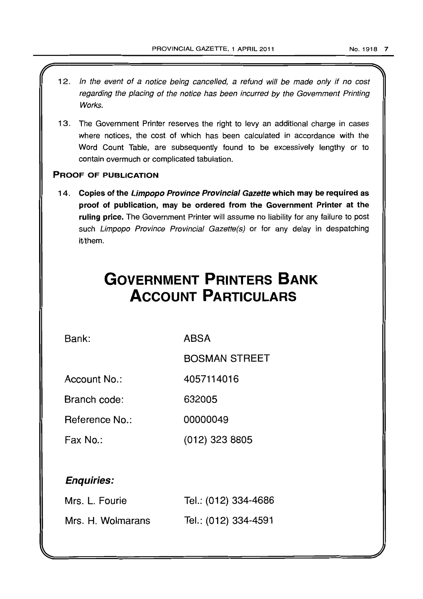- 12. In the event of a notice being cancelled, a refund will be made only if no cost regarding the placing of the notice has been incurred by the Government Printing Works.
- 13. The Government Printer reserves the right to levy an additional charge in cases where notices, the cost of which has been calculated in accordance with the Word Count Table, are subsequently found to be excessively lengthy or to contain overmuch or complicated tabulation.

### PROOF OF PUBLICATION

14. Copies of the Limpopo Province Provincial Gazette which may be required as proof of publication, may be ordered from the Government Printer at the ruling price. The Government Printer will assume no liability for any failure to post such Limpopo Province Provincial Gazette(s) or for any delay in despatching it/them.

# **GOVERNMENT PRINTERS BANK ACCOUNT PARTICULARS**

Bank:

ABSA

BOSMAN STREET

Account No.: 4057114016

Branch code: 632005

Reference No.: 00000049

Fax No.: (012) 323 8805

# Enquiries:

| Mrs. L. Fourie    | Tel.: (012) 334-4686 |
|-------------------|----------------------|
| Mrs. H. Wolmarans | Tel.: (012) 334-4591 |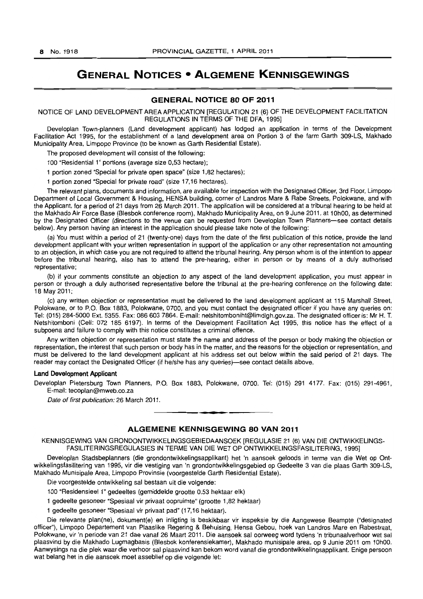# **GENERAL NOTICES • ALGEMENE KENNISGEWINGS**

### **GENERAL NOTICE 80 OF 2011**

NOTICE OF LAND DEVELOPMENT AREA APPLICATION [REGULATION 21 (6) OF THE DEVELOPMENT FACILITATION REGULATIONS IN TERMS OF THE DFA, 1995}

Developlan Town-planners (Land development applicant) has lodged an application in terms of the Development Facilitation Act 1995, for the establishment of a land development area on Portion 3 of the farm Garth 309-LS, Makhado Municipality Area, Limpopo Province (to be known as Garth Residential Estate).

The proposed development will consist of the following:

100 "Residential 1" portions (average size 0,53 hectare):

1 portion zoned "Special for private open space" (size 1 ,82 hectares):

1 portion zoned "Special for private road" (size 17,16 hectares).

The relevant plans, documents and information, are available for inspection with the Designated Officer, 3rd Floor, Limpopo Department of Local Government & Housing, HENSA building, corner of Landros Mare & Rabe Streets, Polokwane, and with the Applicant, for a period of 21 days from 26 March 2011. The application will be considered at a tribunal hearing to be held at the Makhado Air Force Base (Blesbok conference room), Makhado Municipality Area, on 9 June 2011, at 10hOO, as determined by the Designated Officer (directions to the venue can be requested from Developlan Town Planners-see contact details below). Any person having an interest in the application should please take note of the following:

(a) You must within a period of 21 (twenty-one) days from the date of the first publication of this notice, provide the land development applicant with your written representation in support of the application or any other representation not amounting to an objection, in which case you are not required to attend the tribunal hearing. Any person whom is of the intention to appear before the tribunal hearing, also has to attend the pre-hearing, either in person or by means of a duly authorised representative;

(b) if your comments constitute an objection to any aspect of the land development application, you must appear in person or through a duly authorised representative before the tribunal at the pre-hearing conference on the following date: 18 May 2011;

(c) any written objection or representation must be delivered to the land development applicant at 115 Marshall Street, Polokwane, or to P.O. Box 1883, Polokwane, 0700, and you must contact the designated officer if you have any queries on: Tel: (015) 284-5000 Ext. 5355. Fax: 086 603 7864. E-mail: netshitomboniht@limdlgh.gov.za. The designated officer is: Mr H. T. Netshitomboni (Cell: 072 185 6197). In terms of the Development Facilitation Act 1995, this notice has the effect of a subpoena and failure to comply with this notice constitutes a criminal offence.

Any written objection or representation must state the name and address of the person or body making the objection or representation, the interest that such person or body has in the matter, and the reasons for the objection or representation, and must be delivered to the land development applicant at his address set out below within the said period of 21 days. The reader may contact the Designated Officer (if he/she has any queries)-see contact details above.

#### Land Development Applicant

Developlan Pietersburg Town Planners, P.O. Box 1883, Polokwane, 0700. Tel: (015) 291 4177. Fax: (015) 291-4961, E-mail: tecoplan@mweb.co.za

Date of first publication: 26 March 2011.

### **ALGEMENE KENNISGEWING 80 VAN 2011**

**• •** 

KENNISGEWING VAN GRONDONTWIKKELINGSGEBIEDAANSOEK [REGULASIE 21 (6) VAN DIE ONTWIKKELINGS-FASILITERINGSREGULASIES IN TERME VAN DIE WET OP ONTWIKKELlNGSFASILITERING, 1995]

Developlan Stadsbeplanners (die grondontwikkelingsapplikant) het 'n aansoek geloods in terme van die Wet op Ontwikkelingsfasilitering van 1995, vir die vestiging van 'n grondontwikkelingsgebied op Gedeelte 3 van die plaas Garth 309-LS, Makhado Munisipale Area, Limpopo Provinsie (voorgestelde Garth Residential Estate).

Die voorgestelde ontwikkeling sal bestaan uit die volgende:

100 "Residensieel 1" gedeeltes (gemiddelde grootte 0,53 hektaar elk)

1 gedeelte gesoneer "Spesiaal vir privaat oopruimte" (grootte 1,82 hektaar)

1 gedeelte gesoneer "Spesiaal vir privaat pad" (17,16 hektaar).

Die relevante plan(ne), dokument(e) en inligting is beskikbaar vir inspeksie by die Aangewese Beampte ("designated officer"), Limpopo Departement van Plaaslike Regering & Behuising, Hensa Gebou, hoek van Landros Mare en Rabestraat, Polokwane, vir 'n periode van 21 dae vanaf 26 Maart 2011. Die aansoek sal oorweeg word tydens 'n tribunaalverhoor wat sal plaasvind by die Makhado Lugmagbasis (Blesbok konferensiekamer), Makhado munisipale area, op 9 Junie 2011 om 10hOO. Aanwysings na die plek waar die verhoor sal plaasvind kan bekom word vanaf die grondontwikkelingsapplikant. Enige persoon wat belang het in die aansoek moet asseblief op die volgende let: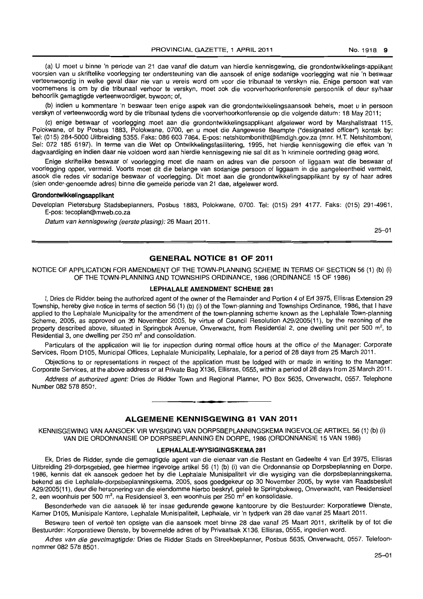(a) U moet u binne 'n periode van 21 dae vanaf die datum van hierdie kennisgewing, die grondontwikkelings-applikant voorsien van u skriftelike voorlegging ter ondersteuning van die aansoek of enige sodanige voorlegging wat nie 'n beswaar verteenwoordig in welke geval daar nie van u vereis word om voor die tribunaal te verskyn nie. Enige persoon wat van voornemens is om by die tribunaal verhoor te verskyn, moet ook die voorverhoorkonferensie persoonlik of deur sy/haar behoorlik gemagtigde verteenwoordiger, bywoon; of,

(b) indien u kommentare 'n beswaar teen enige aspek van die grondontwikkelingsaansoek behels, moet u in persoon verskyn of verteenwoordig word by die tribunaal tydens die voorverhoorkonferensie op die volgende datum: 18 May 2011;

(c) enige beswaar of voorlegging moet aan die grondontwikkelingsapplikant afgelewer word by Marshallstraat 115, Polokwane, of by Posbus 1883, Polokwane, 0700. en u moet die Aangewese Beampte ("designated officer") kontak by: Tel: (015) 284-5000 Uitbreiding 5355. Faks: 086 603 7864. E-pos: netshitombonitht@limdlgh.gov.za (mnr. H.T. Netshitomboni, Sel: 072 185 6197). In terme van die Wet op Ontwikkelingsfasilitering, 1995, het hierdie kennisgewing die effek van 'n dagvaardiging en indien daar nie voldoen word aan hierdie kennisgewing nie sal dit as 'n kriminele oortreding geag word.

Enige skriftelike beswaar of voorlegging moet die naam en adres van die persoon of liggaam wat die beswaar of voorlegging opper, vermeld. Voorts moet dit die belange van sodanige persoon of liggaam in die aangeleentheid vermeld, asook die redes vir sodanige beswaar of voorlegging. Dit moet aan die grondontwikkelingsapplikant by sy of haar adres (sien onder-genoemde adres) binne die gemelde periode van 21 dae, afgelewer word.

#### **Grondontwikkelingsapplikant**

Developlan Pietersburg Stadsbeplanners. Posbus 1883, Polokwane, 0700. Tel: (015) 291 4177. Faks: (015) 291-4961, E-pos: tecoplan@mweb.co.za

Datum van kennisgewing (eerste plasing): 26 Maart 2011.

25-01

### **GENERAL NOTICE 81 OF 2011**

NOTICE OF APPLICATION FOR AMENDMENT OF THE TOWN-PLANNING SCHEME IN TERMS OF SECTION 56 (1) (b) (i) OF THE TOWN-PLANNING AND TOWNSHIPS ORDINANCE, 1986 (ORDINANCE 15 OF 1986)

#### **LEPHALALE AMENDMENT SCHEME** 281

I, Dries cle Ridder, being the authorized agent of the owner of the Remainder and Portion 4 of Erf 3975, Ellisras Extension 29 Township, hereby give notice in terms of section 56 (1) (b) (i) of the Town-planning and Townships Ordinance, 1986, that I have applied to the Lephalale Municipality for the amendment of the town-planning scheme known as the Lephalale Town-planning Scheme, 2005, as approved on 30 November 2005, by virtue of Council Resolution A29/2005(11), by the rezoning of the property described above, situated in Springbok Avenue, Onverwacht, from Residential 2, one dwelling unit per 500 m<sup>2</sup>, to Residential 3, one dwelling per  $250 \text{ m}^2$  and consolidation.

Particulars of the application will lie for inspection during normal office hours at the office of the Manager: Corporate Services, Room 0105, Municipal Offices, Lephalale Municipality, Lephalale, for a period of 28 days from 25 March 2011.

Objections to or representations in respect of the application must be lodged with or made in writing to the Manager: Corporate Services, at the above address or at Private Bag X136, Ellisras, 0555, within a period of 28 days from 25 March 2011.

Address of authorized agent: Dries de Ridder Town and Regional Planner, PO Box 5635, Onverwacht, 0557. Telephone Number 082 578 8501. **. -**

### **ALGEMENE KENNISGEWING 81 VAN 2011**

KENNISGEWING VAN AANSOEK VIR WYSIGING VAN DORPSBEPLANNINGSKEMA INGEVOLGE ARTIKEL 56 (1) (b) (i) VAN DIE ORDONNANSIE OP DORPSBEPLANNING EN DORPE, 1986 (ORDONNANSIE 15 VAN 1986)

#### **LEPHALALE-WYSIGINGSKEMA 281**

Ek, Dries de Ridder, synde die gemagtigde agent van die eienaar van die Restant en Gedeelte 4 van Erf 3975, Ellisras Uitbreiding 29-dorpsgebied, gee hiermee ingevolge artikel 56 (1) (b) (i) van die Ordonnansie op Dorpsbeplanning en Dorpe, 1986, kennis dat ek aansoek gedoen het by die Lephalale Munisipaliteit vir die wysiging van die dorpsbeplanningskema, bekend as die Lephalale-dorpsbeplanningskema, 2005, soos goedgekeur op 30 November 2005, by wyse van Raadsbesluit A29/2005(11), deur die hersonering van die eiendomme hierbo beskryf, gelee te Springbokweg, Onverwacht, van Residensieel 2, een woonhuis per 500 m<sup>2</sup>, na Residensieel 3, een woonhuis per 250 m<sup>2</sup> en konsolidasie.

Besonderhede van die aansoek lê ter insae gedurende gewone kantoorure by die Bestuurder: Korporatiewe Dienste, Kamer D105, Munisipale Kantore, Lephalale Munisipaliteit, Lephalale, vir 'n tydperk van 28 dae vanaf 25 Maart 2011.

Besware teen of vertoë ten opsigte van die aansoek moet binne 28 dae vanaf 25 Maart 2011, skriftelik by of tot die Bestuurder: Korporatiewe Dienste, by bovermelde adres of by Privaatsak X136, Ellisras, 0555, ingedien word.

Adres van die gevolmagtigde: Dries de Ridder Stads en Streekbeplanner, Posbus 5635, Onverwacht, 0557. Telefoonnommer 082 578 8501.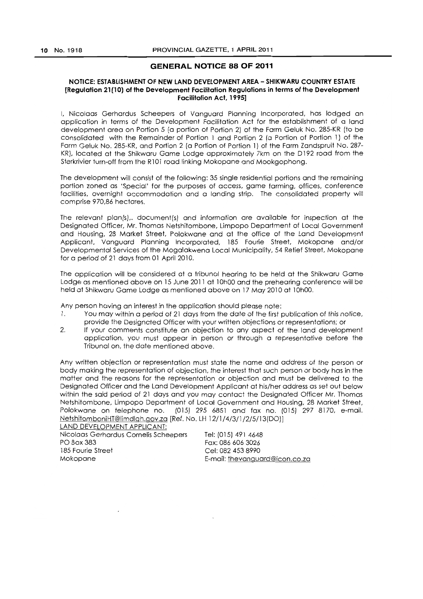### **GENERAL NOTICE 88 OF 2011**

### NOTICE: ESTABLISHMENT OF NEW LAND DEVELOPMENT AREA - SHIKWARU COUNTRY ESTATE [Regulation 21(10) of the Development Facilitation Regulations in terms of the Development Facilitation Act, 1995]

I, Nicolaas Gerhardus Scheepers of Vanguard Planning Incorporated, has lodged an application in terms of the Development Facilitation Act for the establishment of a land development area on Portion 5 (a portion of Portion 2) of the Farm Geluk No. 285-KR (to be consolidated with the Remainder of Portion 1 and Portion 2 (a Portion of Portion 1) of the Farm Geluk No. 285-KR, and Portion 2 (a Portion of Portion 1) of the Farm Zandspruit No. 287- KR), located at the Shikwaru Game Lodge approximately 7km on the D192 road from the Sterkrivier turn-off from the R101 road linking Mokopane and Mookgophong.

The development will consist of the following: 35 single residential portions and the remaining portion zoned as 'Special' for the purposes of access, game farming, offices, conference facilities, overnight accommodation and a landing strip. The consolidated property will comprise 970,86 hectares.

The relevant plan(s),. document(s) and information are available for inspection at the Designated Officer, Mr. Thomas Netshitombone, Limpopo Department of Local Government and Housing, 28 Market Street, Polokwane and at the office of the Land Development Applicant. Vanguard Planning Incorporated, 185 Fourie Street, Mokopane and/or Developmental Services of the Mogalakwena Local Municipality, 54 Retief Street, Mokopane for a period of 21 days from 01 April 2010.

The application will be considered at a tribunal hearing to be held at the Shikwaru Game Lodge as mentioned above on 15 June 2011 at 10h00 and the prehearing conference will be held at Shikwaru Game lodge as mentioned above on 17 May 2010 at 10hOO.

Any person having an interest in the application should please note:

- 1. You may within a period of 21 days from the date of the first publication of this notice, provide the Designated Officer with your written objections or representations; or
- 2. If your comments constitute an objection to any aspect of the land development application, you must appear in person or through a representative before the Tribunal on, the dote mentioned above.

Any written objection or representation must state the name and address of the person or body making the representation of objection, the interest that such person or body has in the matter and the reasons for the representation or objection and must be delivered to the Designated Officer and the Land Development Applicant at his/her address as set out below within the said period of 21 days and you may contact the Designated Officer Mr. Thomas Netshitombone, limpopo Department of Local Government and Housing, 28 Market Street, Polokwane on telephone no. (015) 295 6851 and fax no. (015/ 297 8170, e-mail. NetshitomboniHT@limdlqh.qov.za [Ref. No. LH 12/1/4/311/2/5113(DO)]

LAND DEVELOPMENT APPLICANT: Nicolaas Gerhardus Cornelis Scheepers PO Box 383 185 Fourie Street Mokopane

Tel: (015) 491 4648 Fax: 086 606 3026 Cel: 0824538990 E-mail: thevanguard@icon.co.za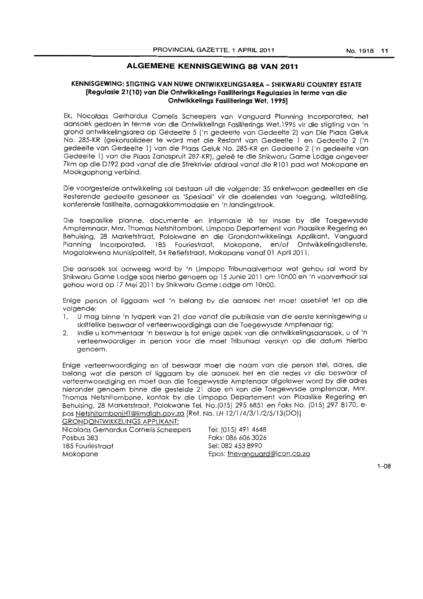### **ALGEMENE KENNISGEWING 88 VAN 2011**

### **KENNISGEWING: STIGTING VAN NUWE ONTWIKKELINGSAREA - SHIKWARU COUNTRY ESTATE [ReguJasie 21(10) van Die Ontwikkelings Fasiliterings Regulasies in terme van die Ontwikkelings Fasiliterings Wet, 1995]**

Ek, Nocolaas Gerhardus Comelis Scheepers van Vanguard Planning Incorporated, het aansoek gedoen in terme van die Ontwikkelings Fasiliterings Wet, 1995 vir die stigting van 'n grond ontwikkelingsarea op Gedeelte 5 ('n gedeelte van Gedeelte 2) van Die Plaas Geluk No. 285-KR (gekonsolideer te word met die Restant van Gedeelte 1 en Gedeelte 2 ('n gedeelte van Gedeelte 1) van die Plaas Geluk No. 285-KR en Gedeelte 2 ('n gedeelte van Gedeelte 1) van die Plaas Zandspruit 287-KR), geleë te die Shikwaru Game Lodge ongeveer 7km op die D192 pad vanaf die die Strekrivier afdraai vanaf die R101 pad wat Mokopane en Mookgophong verbind.

Die voorgestelde ontwikkeling sal bestaan uii die volgende: 35 enkelwoon gedeeltes en die Resterende gedeelte gesoneer as 'Spesiaal' vir die doelendes van toegang, wildteeling, konferensie fasiliteite, oornagakkommodasie en 'n landingstrook.

Die toepaslike planne, documente en informasie Iê ter insae by die Toegewysde Amptemnaar, Mnr. Thomas Netshitomboni, Limpopo Departement van Plaaslike Regering en Behuising, 28 Marketstraat, Polokwane en die Grondontwikkelings Applikant, Vanguard Planning Incorporated. 185 Fouriestraat, Mokopane, en/of Ontwikkelingsdienste, Mogalakwena Munisipaliteit. 54 Retiefstraat. Mokopane vanaf 01 April 201 1.

Die aansoek sal oorweeg word by 'n Limpopo Tribunaalverhoor wat gehou sal word by Shikwaru Game Lodge soos hierbo genoem op 15 Junie 2011 om 10h00 en 'n voorverhoor sal gehou word op 17 Mei 2011 by Shikwaru Game Lodge om 10hOO.

Enige person of liggaam wat 'n belang by die aansoek het moet asseblief let op die volgende:

- 1. U mag binne 'n tydperk van 21 dae vanaf die publikasie van die eerste kennisgewing u skriffelike beswaar of verteenwoordigings aan die Toegewysde Amptenaar rig;
- 2. Indie u kommentaar 'n beswaar is tot enige aspek van die ontwikkelingsaansoek, u of 'n verteenwoordiger in person voor die moet Tribunaal verskyn op die datum hierbo genoem.

Enige verteenwoordiging en of beswaar moet die naam van die person stel, adres, die belong waf die person of liggaam by die aansoek het en die redes vir die beswaar of verteenwoordiging en moet aan die Toegewysde Amptenaar afgelewer word by die adres hieronder genoem binne die gestelde 21 doe en kan die Toegewysde amptenaar, Mm. Thomas Netshitombone, kontak by die Limpopo Departement van Plaaslike Regering en Behuising, 28 Marketstraat, Polokwane Tei. No.(015) 295 6851 en Faks No. (015) 2978170, epos NetshitomboniHT@limdlgh.qov.zo [Ref. No. LH 1211/4/3/1/2/5/13(DO)] GRONDONTWIKKELINGS APPLIKANT:

| <u>UNUNDUNI MINNEEINUS ALLEINAINI.</u> |                              |
|----------------------------------------|------------------------------|
| Nicolaas Gerhardus Cornelis Scheepers  | Tel: (015) 491 4648          |
| Posbus 383                             | Faks: 086 606 3026           |
| 185 Fouriestraat                       | Sel: 082 453 8990            |
| Mokopane                               | Epos: thevanguard@icon.co.za |
|                                        |                              |

 $1 - \Omega$  $R$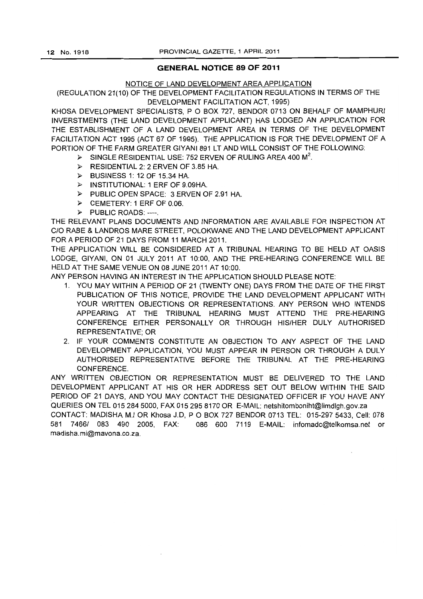### **GENERAL NOTICE 89 OF 2011**

### NOTICE OF LAND DEVELOPMENT AREA APPLICATION

(REGULATION 21(10) OF THE DEVELOPMENT FACILITATION REGULATIONS IN TERMS OF THE DEVELOPMENT FACILITATION ACT, 1995)

KHOSA DEVELOPMENT SPECIALISTS, P O BOX 727, BENDOR 0713 ON BEHALF OF MAMPHURI INVERSTMENTS (THE LAND DEVELOPMENT APPLICANT) HAS LODGED AN APPLICATION FOR THE ESTABLISHMENT OF A LAND DEVELOPMENT AREA IN TERMS OF THE DEVELOPMENT FACILITATION ACT 1995 (ACT 67 OF 1995). THE APPLICATION IS FOR THE DEVELOPMENT OF A PORTION OF THE FARM GREATER GIYANI 891 LT AND WILL CONSIST OF THE FOLLOWING:

- $\triangleright$  SINGLE RESIDENTIAL USE: 752 ERVEN OF RULING AREA 400 M<sup>2</sup>.
- $\triangleright$  RESIDENTIAL 2: 2 ERVEN OF 3.85 HA.
- <sup>~</sup>BUSINESS 1: 12 OF 15.34 HA.
- <sup>~</sup>INSTITUTIONAL: 1 ERF OF 9.09HA.
- <sup>~</sup>PUBLIC OPEN SPACE: 3 ERVEN OF 2.91 HA.
- <sup>~</sup>CEMETERY: 1 ERF OF 0.06.
- > PUBLIC ROADS: ----.

THE RELEVANT PLANS DOCUMENTS AND INFORMATION ARE AVAILABLE FOR INSPECTION AT C/O RABE & LANDROS MARE STREET, POLOKWANE AND THE LAND DEVELOPMENT APPLICANT FOR A PERIOD OF 21 DAYS FROM 11 MARCH 2011.

THE APPLICATION WILL BE CONSIDERED AT A TRIBUNAL HEARING TO BE HELD AT OASIS LODGE, GIYANI, ON 01 JULY 2011 AT 10:00, AND THE PRE-HEARING CONFERENCE WILL BE HELD AT THE SAME VENUE ON 08 JUNE 2011 AT 10:00.

ANY PERSON HAVING AN INTEREST IN THE APPLICATION SHOULD PLEASE NOTE:

- 1. YOU MAY WITHIN A PERIOD OF 21 (TWENTY ONE) DAYS FROM THE DATE OF THE FIRST PUBLICATION OF THIS NOTICE, PROVIDE THE LAND DEVELOPMENT APPLICANT WITH YOUR WRITTEN OBJECTIONS OR REPRESENTATIONS. ANY PERSON WHO INTENDS APPEARING AT THE TRIBUNAL HEARING MUST ATTEND THE PRE-HEARING CONFERENCE EITHER PERSONALLY OR THROUGH HIS/HER DULY AUTHORISED REPRESENTATIVE; OR
- 2. IF YOUR COMMENTS CONSTITUTE AN OBJECTION TO ANY ASPECT OF THE LAND DEVELOPMENT APPLICATION, YOU MUST APPEAR IN PERSON OR THROUGH A DULY AUTHORISED REPRESENTATIVE BEFORE THE TRIBUNAL AT THE PRE-HEARING CONFERENCE.

ANY WRITTEN OB,IECTION OR REPRESENTATION MUST BE DELIVERED TO THE LAND DEVELOPMENT APPLICANT AT HIS OR HER ADDRESS SET OUT BELOW WITHIN THE SAID PERIOD OF 21 DAYS, AND YOU MAY CONTACT THE DESIGNATED OFFICER IF YOU HAVE ANY QUERIES ON TEL 015 284 5000, FAX 015 295 8170 OR E-MAIL: netshitomboniht@limdlgh.gov.za CONTACT: MADISHA M.I OR Khosa J.D, POBOX 727 BENDOR 0713 TEL: 015-2975433, Cell: 078 581 7466/ 083 490 2005, FAX: 086 600 7119 E-MAIL: infomadc@telkomsa.net or madisha.mi@mavona.co.za.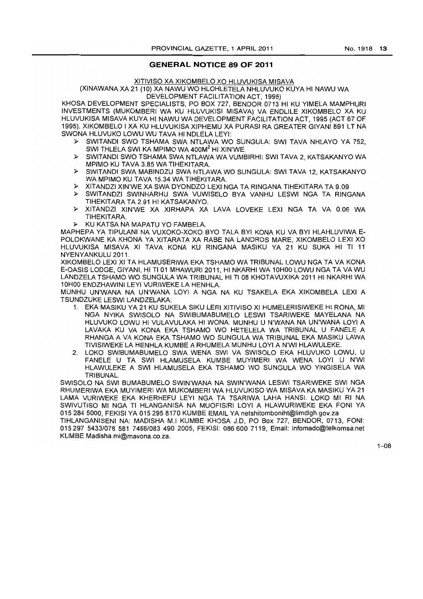### **GENERAL NOTICE 89 OF 2011**

XITIVISO XA XIKOMBELO XO HLUVUKISA MISAVA

(XINAWANA XA 21 (10) XA NAWU WO HLOHLETELA NHLUVUKO KUYA HI NAWU WA DEVELOPMENT FACILITATION ACT, 1995)

KHOSA DEVELOPMENT SPECIALISTS, PO BOX 727, BENDOR 0713 HI KU YIMELA MAMPHURI INVESTMENTS (MUKOMBERI WA KU HLUVUKISI MISAVA) VA ENDLILE XIKOMBELO XA KU HLUVUKISA MISAVA KUYA HI NAWU WA DEVELOPMENT FACILITATION ACT, 1995 (ACT 67 OF 1995). XIKOMBELO I XA KU HLUVUKISA XIPHEMU XA PURASI RA GREATER GIYANI 891 LT NA SWONA HLUVUKO LOWU WU TAVA HI NDLELA LEYI:

- }> SWITANDI SWO TSHAMA SWA NTLAWA WO SUNGULA: SWI TAVA NHLAYO YA 752, SWI THLELA SWI KA MPIMO WA 400M<sup>2</sup> HI XIN'WE.
- }> SWITANDI SWO TSHAMA SWA NTLAWA WA VUMBIRHI: SWI TAVA 2, KATSAKANYO WA MPIMO KU TAVA 3.85 WA TIHEKITARA.
- }> SWITANDI SWA MABINDZU SWA NTLAWA WO SUNGULA: SWI TAVA 12, KATSAKANYO WA MPIMO KU TAVA 15.34 WA TIHEKITARA
- }> XITANDZI XIN'WE XA SWA DYONDZO LEXI NGA TA RINGANA TIHEKITARA TA 9.09
- }> SWITANDZI SWINHARHU SWA VUWISELO BYA VANHU LESWI NGA TA RINGANA TIHEKITARA TA 2.91 HI KATSAKANYO.
- }> XITANDZI XIN'WE XA XIRHAPA XA LAVA LOVEKE LEXI NGA TA VA 0.06 WA TIHEKITARA.
- }> KU KATSA NA MAPATU YO FAMBELA.

MAPHEPA YA TIPULANI NA VUXOKO-XOKO BYO TALA BYI KONA KU VA BYI HLAHLUVIWA E-POLOKWANE KA KHONA YA XITARATA XA RABE NA LANDROS MARE, XIKOMBELO LEXI XO HLUVUKISA MISAVA XI TAVA KONA KU RINGANA MASIKU YA 21 KU SUKA HI TI 11 NYENYANKULU 2011.

XIKOMBELO LEXI XI TA HLAMUSERIWA EKA TSHAMO WA TRIBUNAL LOWU NGA TA VA KONA E-OASIS LODGE, GIYANI, H) TI 01 MHAWURI2011, HI NKARHI WA 10HOO LOWU NGA TA VA WU LANDZELA TSHAMO WO SUNGULA WA TRIBUNAL HI TI 08 KHOTAVUXIKA 2011 HI NKARHI WA 10H00 ENDZHAWINI LEYI VURIWEKE LA HENHLA.

MLiNHU UN'WANA NA UN'WANA LOYI A NGA NA KU TSAKELA EKA XIKOMBELA LEXI A TSUNDZUKE LESWI LANDZELAKA:

- 1. EKA MASIKU YA 21 KU SUKELA SIKU LERI XITIVISO XI HUMELERISIWEKE HI RONA, MI NGA NYIKA SWISOLO NA SWIBUMABUMELO LESWI TSARIWEKE MAYELANA NA HLUVUKO LOWU HI VULAVULAKA HI WONA MUNHU U N'WANA NA UN'WANA LOYI A LAVAKA KU VA KONA EKA TSHAMO WO HETELELA WA TRIBUNAL U FANELE A RHANGA A VA KONA EKA TSHAMO WO SUNGULA WA TRIBUNAL EKA MASIKU LAWA TIVISIWEKE LA HENHLA KUMBE A RHUMELA MUNHU LOYI A N'WI HLAWULEKE.
- 2. LOKO SWIBUMABUMELO SWA WENA SWI VA SWISOLO EKA HLUVUKO LOWU, U FANELE U TA SWI HLAMUSELA KUMBE MUYIMERI WA WENA LOYI U N'WI HLAWULEKE A SWI HLAMUSELA EKA TSHAMO WO SUNGULA WO YINGISELA WA TRIBUNAL

SWISOLO NA SWI BUMABUMELO SWIN'WANA NA SWIN'WANA LESWI TSARIWEKE SWI NGA RHUMERIWA EKA MUYIMERI WA MUKOMBERI WA HLUVUKISO WA MISAVA KA MASIKU YA 21 LAMA VURIWEKE EKA KHERHEFU LEYI NGA TA TSARIWA LAHA HANS!. LOKO MI RI NA SWIVUTISO MI NGA TI HLANGANISA NA MUOFISIRI LOYI A HLAWURIWEKE EKA FONI YA 0152845000, FEKISI YA 015 2958170 KUMBE EMAIL YAnetshitomboniht@limdlgh.gov.za

TIHLANGANISENI NA: MADISHA M.I KUMBE KHOSA J.D, PO Box 727, BENDOR, 0713, FONI: *0152975433/078* 581 *7466/083490* 2005, FEKISI: 0866007119, Email: infomadc@telkomsa.net KUMBE Madisha.mi@mavona.co.za.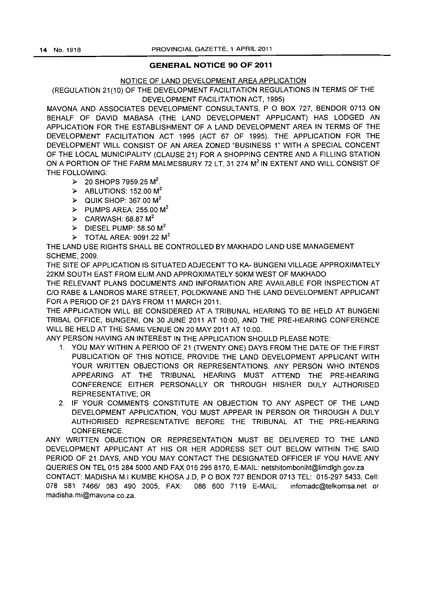### **GENERAL NOTICE 90 OF 2011**

### NOTICE OF LAND DEVELOPMENT AREA APPLICATION

(REGULATION 21(10) OF THE DEVELOPMENT FACILITATION REGULATIONS IN TERMS OF THE DEVELOPMENT FACILITATION ACT, 1995)

MAVONA AND ASSOCIATES DEVELOPMENT CONSULTANTS, POBOX 727, BENDOR 0713 ON BEHALF OF DAVID MABASA (THE LAND DEVELOPMENT APPLICANT) HAS LODGED AN APPLICATION FOR THE ESTABLISHMENT OF A LAND DEVELOPMENT AREA IN TERMS OF THE DEVELOPMENT FACILITATION ACT 1995 (ACT 67 OF 1995). THE APPLICATION FOR THE DEVELOPMENT WILL CONSIST OF AN AREA ZONED "BUSINESS 1" WITH A SPECIAL CONCENT OF THE LOCAL MUNICIPALITY (CLAUSE 21) FOR A SHOPPING CENTRE AND A FILLING STATION ON A PORTION OF THE FARM MALMESBURY 72 LT, 31 274 M<sup>2</sup> IN EXTENT AND WILL CONSIST OF THE FOLLOWING:

- $\ge$  20 SHOPS 7959.25 M<sup>2</sup>.
- $\triangleright$  ABLUTIONS: 152.00 M<sup>2</sup>
- $\geq$  QUIK SHOP: 367.00 M<sup>2</sup>
- $\triangleright$  PUMPS AREA: 255.00 M<sup>2</sup>
- $\triangleright$  CARWASH: 68.87 M<sup>2</sup>
- $\triangleright$  DIESEL PUMP: 58.50 M<sup>2</sup>
- $\triangleright$  TOTAL AREA: 9091.22 M<sup>2</sup>

THE LAND USE RIGHTS SHALL BE CONTROLLED BY MAKHADO LAND USE MANAGEMENT SCHEME, 2009.

THE SITE OF APPLICATION IS SITUATED ADJECENT TO KA- BUNGENI VILLAGE APPROXIMATELY 22KM SOUTH EAST FROM ELiM AND APPROXIMATELY 50KM WEST OF MAKHADO

THE RELEVANT PLANS DOCUMENTS AND INFORMATION ARE AVAILABLE FOR INSPECTION AT C/O RABE & LANDROS MARE STREET, POLOKWANE AND THE LAND DEVELOPMENT APPLICANT FOR A PERIOD OF 21 DAYS FROM 11 MARCH 2011.

THE APPLICATION WILL BE CONSIDERED AT A TRIBUNAL HEARING TO BE HELD AT BUNGENI TRIBAL OFFICE, BUNGENI, ON 30 JUNE 2011 AT 10:00, AND THE PRE-HEARING CONFERENCE WILL BE HELD AT THE SAME VENUE ON 20 MAY 2011 AT 10:00.

ANY PERSON HAVING AN INTEREST IN THE APPLICATION SHOULD PLEASE NOTE:

- 1. YOU MAY WITHIN A PERIOD OF 21 (TWENTY ONE) DAYS FROM THE DATE OF THE FIRST PUBLICATION OF THIS NOTICE, PROVIDE THE LAND DEVELOPMENT APPLICANT WITH YOUR WRITTEN OBJECTIONS OR REPRESENTATIONS. ANY PERSON WHO INTENDS APPEARING AT THE TRIBUNAL HEARING MUST ATIEND THE PRE-HEARING CONFERENCE EITHER PERSONALLY OR THROUGH HIS/HER DULY AUTHORISED REPRESENTATIVE; OR
- 2. IF YOUR COMMENTS CONSTITUTE AN OBJECTION TO ANY ASPECT OF THE LAND DEVELOPMENT APPLICATION, YOU MUST APPEAR IN PERSON OR THROUGH A DULY AUTHORISED REPRESENTATIVE BEFORE THE TRIBUNAL AT THE PRE-HEARING CONFERENCE.

ANY WRITIEN OBJECTION OR REPRESENTATION MUST BE DELIVERED TO THE LAND DEVELOPMENT APPLICANT AT HIS OR HER ADDRESS SET OUT BELOW WITHIN THE SAID PERIOD OF 21 DAYS, AND YOU MAY CONTACT THE DESIGNATED OFFICER IF YOU HAVE ANY QUERIES ON TEL 015 284 5000 AND FAX 015 295 8170, E-MAIL: netshitomboniht@limdlgh.gov.za CONTACT: MADISHA M.I KliMBE KHOSA J.D, POBOX 727 BENDOR 0713 TEL: 015-2975433, Cell: 078 581 7466/ 083 490 2005, FAX: 086 600 7119 E-MAIL: infomadc@telkomsa.net or madisha. mi@mavona.co.za.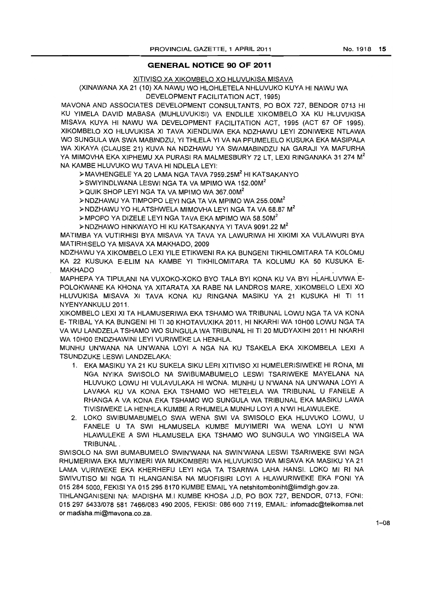### **GENERAL NOTICE 90 OF 2011**

#### XITIVISO XA XIKOMBELO XO HLUVUKISA MISAVA

### (XINAWANA XA 21 (10) XA NAWU WO HLOHLETELA NHLUVUKO KUYA HI NAWU WA DEVELOPMENT FACILITATION ACT, 1995)

MAVONA AND ASSOCIATES DEVELOPMENT CONSULTANTS, PO BOX 727, BENDOR 0713 HI KU YIMELA DAVID MABASA (MUHLUVUKISI) VA ENDLILE XIKOMBELO XA KU HLUVUKISA MISAVA KUYA HI NAWU WA DEVELOPMENT FACILITATION ACT, 1995 (ACT 67 OF 1995). XIKOMBELO XO HLUVUKISA XI TAVA XIENDLIWA EKA NDZHAWU LEYI ZONIWEKE NTLAWA WO SUNGULA WA SWA MABINDZU, YI THLELA YI VA NA PFUMELELO KUSUKA EKA MASIPALA WA XIKAYA (CLAUSE 21) KUVA NA NDZHAWU YA SWAMABINDZU NA GARAJI YA MAFURHA YA MIMOVHA EKA XIPHEMU XA PURASI RA MALMESBURY 72 LT, LEXI RINGANAKA 31 274 M<sup>2</sup> NA KAMBE HLUVUKO WU TAVA HI NDLELA LEYI:

};>MAVHENGELE YA 20 LAMA NGA TAVA 7959.25M2 HI KATSAKANYO

};>SWIYINDLWANA LESWI NGA TA VA MPIMO WA 152.00M<sup>2</sup>

};>QUIK SHOP LEYI NGA TA VA MPIMO WA 367.00M<sup>2</sup>

};>NDZHAWU YA TIMPOPO LEYI NGA TA VA MPIMO WA 255.00M<sup>2</sup>

};>NDZHAWU YO HLATSHWELA MIMOVHA LEYI NGA TA VA 68.87 M2

};>MPOPO YA DIZELE LEYI NGA TAVA EKA MPIMO WA 58.50M<sup>2</sup>

};>NDZHAWO HINKWAYO HI KU KATSAKANYA YI TAVA 9091.22 M2

MATIMBA YA VUTIRHISI BYA MISAVA YA TAVA YA LAWURIWA HI XIKIMI XA VULAWURI BYA MATIRHISELO YA MISAVA XA MAKHADO, 2009

NDZHAWU YA XIKOMBELO LEXI YILE ETIKWENI RA KA BUNGENI TIKHILOMITARA TA KOLOMU KA 22 KUSUKA E-ELIM NA KAMBE YI TIKHILOMITARA TA KOLUMU KA 50 KUSUKA E-MAKHADO

MAPHEPA YA TIPULANI NA VUXOKO-XOKO BYO TALA BYI KONA KU VA BYI HLAHLUVIWA E-POLOKWANE KA KHONA YA XITARATA XA RABE NA LANDROS MARE, XIKOMBELO LEXI XO HLUVUKISA MISAVA XI TAVA KONA KU RINGANA MASIKU YA 21 KUSUKA HI TI 11 NYENYANKULU 2011.

XIKOMBELO LEXI XI TA HLAMUSERIWA EKA TSHAMO WA TRIBUNAL LOWU NGA TA VA KONA E- TRIBAL YA KA BUNGENI HI TI 30 KHOTAVUXIKA 2011, HI NKARHI WA 10HOO LOWU NGA TA VA WU LANDZELA TSHAMO WO SUNGULA WA TRIBUNAL HI TI 20 MUDYAXIHI 2011 HI NKARHI WA 10HOO ENDZHAWINI LEYI VURIWEKE LA HENHLA.

MUNHU UN'WANA NA UN'WANA LOYI A NGA NA KU TSAKELA EKA XIKOMBELA LEXI A TSUNDZUKE LESWI LANDZELAKA:

- 1. EKA MASIKU YA 21 KU SUKELA SIKU LERI XITIVISO XI HUMELER1SIWEKE HI RONA, MI NGA NYIKA SWISOLO NA SWIBUMABUMELO LESWI TSARIWEKE MAYELANA NA HLUVUKO LOWU HI VULAVULAKA HI WONA. MUNHU U N'WANA NA UN'WANA LOYI A LAVAKA KU VA KONA EKA TSHAMO WO HETELELA WA TRIBUNAL U FANELE A RHANGA A VA KONA EKA TSHAMO WO SUNGULA WA TRIBUNAL EKA MASIKU LAWA TIVISIWEKE LA HENHLA KUMBE A RHUMELA MUNHU LOYI A N'WI HLAWULEKE.
- 2. LOKO SWIBUMABUMELO SWA WENA SWI VA SWISOLO EKA HLUVUKO LOWU, U FANELE U TA SWI HLAMUSELA KUMBE MUYIMERI WA WENA LOYI U N'WI HLAWULEKE A SWI HLAMUSELA EKA TSHAMO WO SUNGULA WO YINGISELA WA TRIBUNAL.

SWISOLO NA SWI BUMABUMELO SWIN'WANA NA SWIN'WANA LESWI TSARIWEKE SWI NGA RHUMERIWA EKA MUYIMERI WA MUKOMBERI WA HLUVUKISO WA MISAVA KA MASIKU YA 21 LAMA VURIWEKE EKA KHERHEFU LEYI NGA TA TSARIWA LAHA HANS!. LOKO MI RI NA SWIVUTISO MI NGA TI HLANGANISA NA MUOFISIRI LOYI A HLAWURIWEKE EKA FONI YA 0152845000, FEKISI YA 015 295 8170 KUMBE EMAIL YAnetshitomboniht@limdlgh.gov.za.

TIHLANGANISENI NA: MADISHA M.I KUMBE KHOSA J.D, PO BOX 727, BENDOR, 0713, FONI: *015297 5433/078* 581 *74661083* 490 2005, FEKISI: OB6600 7119, EMAIL: infomadc@telkomsa.net or madisha.mi@mavona.co.za.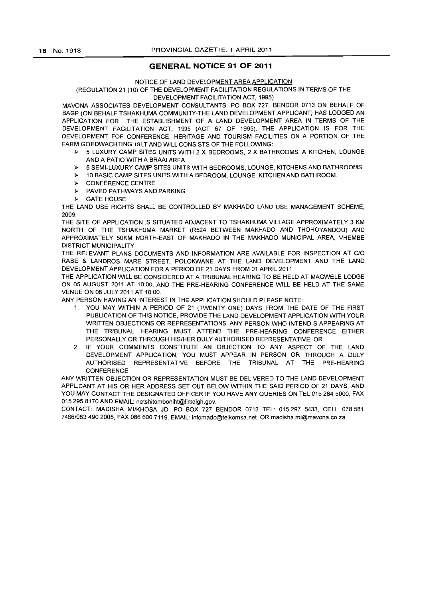### **GENERAL NOTICE 91 OF 2011**

#### NOTICE OF LAND DEVELOPMENT AREA APPLICATION

#### (REGULATION 21 (10) OF THE DEVELOPMENT FACILITATION REGULATIONS **IN** TERMS OF THE DEVELOPMENT FACILITATION ACT, 1995)

MAVONA ASSOCIATES DEVELOPMENT CONSULTANTS, PO BOX 727, BENDOR 0713 ON BEHALF OF BAGP (ON BEHALF TSHAKHUMA COMMUNITY-THE LAND DEVELOPMENT APPLICANT) HAS LODGED AN APPLICATION FOR THE ESTABLISHMENT OF A LAND DEVELOPMENT AREA IN TERMS OF THE DEVELOPMENT FACILITATION ACT, 1995 (ACT 67 OF 1995). THE APPLICATION IS FOR THE DEVELOPMENT FOF CONFERENCE, HERITAGE AND TOURISM FACILITIES ON A PORTION OF THE FARM GOEDWACHTING 19LT AND WILL CONSISTS OF THE FOLLOWING:

- )0 5 LUXURY CAMP SITES UNITS WITH 2 X BEDROOMS, 2 X BATHROOMS. A KITCHEN. LOUNGE AND A PATIO WITH A BRAAI AREA
- > 5 SEMI-LUXURY CAMP SITES UNITS WITH BEDROOMS. LOUNGE, KITCHENS AND BATHROOMS.
- )0 10 BASIC CAMP SITES UNITS WITH A BEDROOM, LOUNGE, KITCHEN AND BATHROOM.
- )0 CONFERENCE CENTRE
- )0 PAVED PATHWAYS AND PARKING.
- )0 GATE HOUSE

THE LAND USE RIGHTS SHALL BE CONTROLLED BY MAKHADO LAND USE MANAGEMENT SCHEME, 2009.

THE SITE OF APPLICATION IS SITUATED ADJACENT TO TSHAKHUMA VILLAGE APPROXIMATELY 3 KM NORTH OF THE TSHAKHUMA MARKET (R524 BETWEEN MAKHADO AND THOHOYANDOU) AND APPROXIMATELY 50KM NORTH-EAST OF MAKHADO IN THE MAKHADO MUNICIPAL AREA. VHEMBE DISTRICT MUNICIPALITY

THE RELEVANT PLANS DOCUMENTS AND INFORMATION ARE AVAILABLE FOR INSPECTION AT CIO RABE & LANDROS MARE STREET. POLOKWANE AT THE LAND DEVELOPMENT AND THE LAND DEVELOPMENT APPLICATION FOR A PERIOD OF 21 DAYS FROM 01 APRIL 2011.

THE APPLICATION WILL BE CONSIDERED AT A TRIBUNAL HEARING TO BE HELD AT MAGWELE LODGE ON 05 AUGUST 2011 AT 10:00. AND THE PRE-HEARING CONFERENCE WILL BE HELD AT THE SAME VEN UE ON 08 JULY 2011 AT 10:00.

ANY PERSON HAVING AN INTEREST IN THE APPLICATION SHOULD PLEASE NOTE:

- 1. YOU MAY WITHIN A PERIOD OF 21 (TWENTY ONE) DAYS FROM THE DATE OF THE FIRST PUBLICATION OF THIS NOTICE, PROVIDE THE LAND DEVELOPMENT APPLICATION WITH YOUR WRITTEN OBJECTIONS OR REPRESENTATIONS. ANY PERSON WHO INTEND S APPEARING AT THE TRIBUNAL HEARING MUST ATTEND THE PRE-HEARING CONFERENCE EITHER PERSONALLY OR THROUGH HIS/HER DULY AUTHORISED REPRESENTATIVE; OR
- 2. IF YOUR COMMENTS CONSTITUTE AN OBJECTION TO ANY ASPECT OF THE LAND DEVELOPMENT APPLICATION, YOU MUST APPEAR IN PERSON OR THROUGH A DULY AUTHORISED REPRESENTATIVE BEFORE THE TRIBUNAL AT THE PRE-HEARING **CONFERENCE**

ANY WRITTEN OBJECTION OR REPRESENTATION MUST BE DELIVERED TO THE LAND DEVELOPMENT APPLICANT AT HIS OR HER ADDRESS SET OUT BELOW WITHIN THE SAID PERIOD OF 21 DAYS, AND YOU MAY CONTACT THE DESIGNATED OFFICER IF YOU HAVE ANY QUERIES ON TEL 015 284 5000, FAX 015 295 8170 AND EMAIL: netshitomboniht@limdlgh.gov.

CONTACT: MADISHA MI/KHOSA JD, PO BOX 727 BENDOR 0713 TEL: 015297 5433, CELL 078581 *7466/0834902005,* FAX 086 600 7119, EMAIL: infomadC@telkomsa.net OR madisha.mi@mavona.co.za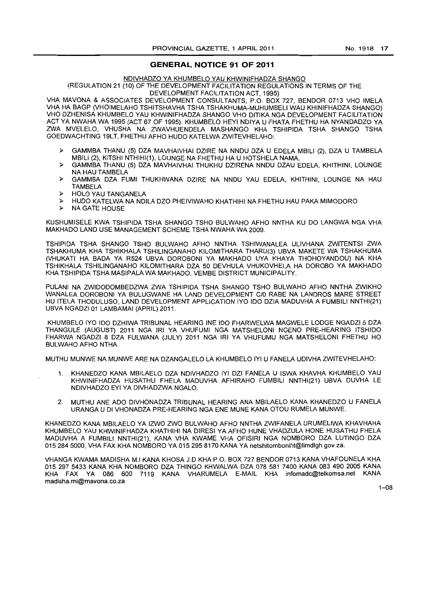#### **GENERAL NOTICE 91 OF 2011**

#### NDIVHADZO YA KHUMBELO YAU KHWINIFHADZA SHANGO

#### (REGULATION 21 (10) OF THE DEVELOPMENT FACILITATION REGULATIONS IN TERMS OF THE DEVELOPMENT FACILITATION ACT, 1995)

VHA MAVONA & ASSOCIATES DEVELOPMENT CONSULTANTS, P.O. BOX 727, BENDOR 0713 VHO IMELA VHA HA BAGP (VHOIMELAHO TSHITSHAVHA TSHA TSHAKHUMA-MUHUMBELI WAU KHINIFHADZA SHANGO) VHO DZHENISA KHUMBELO YAU KHWINIFHADZA SHANGO VHO DITIKA NGA DEVELOPMENT FACILITATION ACT YA NWAHA WA 1995 (ACT 67 OF 1995). KHUMBELO HEYI NDIYA U FHATA FHETHU HA NYANDADZO YA ZWA MVELELO, VHUSHA NA ZWAVHUENDELA MASHANGO KHA TSHIPIDA TSHA SHANGO TSHA GOEDWACHTING 19LT, FHETHU AFHO HUDO KATELWAZWITEVHELAHO:

- » GAMMBA THANU (5) DZA MAVHAIVHAI DZIRE NA NNDU DZA U EDELA MBILI (2), DZA U TAMBELA MBILI (2), KITSHI NTHIHI(1), LOUNGE NA FHETHU HA U HOTSHELA NAMA.
- » GAMMBA THANU (5) DZA MAVHAIVHAI THUKHU DZIRENA NNDU DZAU EDELA, KHITHINI, LOUNGE NA HAU TAMBELA
- » GAMMBA DZA FUMI THUKHWANA DZIRE NA NNDU YAU EDELA, KHITHINI, LOUNGE NA HAU TAMBELA
- » HOLO YAU TANGANELA
- » HUDO KATELWA NA NDILA DZO PHEIVIWAHO KHATHIHI NA FHETHU HAU PAKA MIMODORO
- » NA GATE HOUSE

KUSHUMISELE KWA TSHIPIDA TSHA SHANGO TSHO BULWAHO AFHO NNTHA KU DO LANGWA NGA VHA MAKHADO LAND USE MANAGEMENT SCHEME TSHA NWAHA WA 2009.

TSHIPIDA TSHA SHANGO TSHO BULWAHO AFHO NNTHA TSHIWANALEA ULlVHANA ZWITENTSI ZWA TSHAKHUMA KHA TSHIKHALA TSHILINGANAHO KILOMITHARA THARU(3) UBVA MAKETE WA TSHAKHUMA (VHUKATI HA BADA YA R524 UBVA DOROBONI YA MAKHADO UYA KHAYA THOHOYANDOU) NA KHA TSHIKHALA TSHILINGANAHO KILOMITHARA DZA 50 DEVHULA VHUKOVHELA HA DOROBO YA MAKHADO KHA TSHIPIDA TSHA MASIPALA WA MAKHADO, VEMBE DISTRICT MUNICIPALITY.

PULANI NA ZWIDODOMBEDZWA ZWA TSHIPIDA TSHA SHANGO TSHO BULWAHO AFHO NNTHA ZWIKHO WANALEA DOROBONI YA BULUGWANE HA LAND DEVELOPMENT C/0 RABE NA LANDROS MARE STREET HU ITELA THODULUSO, LAND DEVELOPMENT APPLICATION IYO 100 DZIA MADUVHA A FUMBILI NNTHI(21) UBVA NGADZI 01 LAMBAMAI (APRIL) 2011.

KHUMBELO IYO 100 DZHIWA TRIBUNAL HEARING INE IDO FHARWELWA MAGWELE LODGE NGADZI 5 DZA THANGULE (AUGUST) 2011 NGA IRI YA VHUFUMI NGA MATSHELONI NGENO PRE-HEARING ITSHIDO FHARWA NGADZI 8 DZA FULWANA (JULY) 2011 NGA IRI YA VHUFUMU NGA MATSHELONI FHETHU HO BULWAHO AFHO NTHA.

MUTHU MUNWE NA MUNWE ARE NA DZANGALELO LA KHUMBELO IYI U FANELA UDIVHA ZWITEVHELAHO:

- 1. KHANEDZO KANA MBILAELO DZA NDIVHADZO IYI DZI FANELA U ISWA KHAVHA KHUMBELO YAU KHWINIFHADZA HUSATHU FHELA MADUVHA AFHIRAHO FUMBILI NNTHI(21) UBVA DUVHA LE NDIVHADZO EYI YA DIVHADZWA NGALO.
- 2. MUTHU ANE ADO DIVHONADZA TRIBUNAL HEARING ANA MBILAELO KANA KHANEDZO U FANELA URANGA U 01 VHONADZA PRE-HEARING NGA ENE MUNE KANA OTOU RUMELA MUNWE.

KHANEDZO KANA MBILAELO YA IZWO ZWO BULWAHO AFHO NNTHA ZWIFANELA URUMELIWA KHAVHAHA KHUMBELO YAU KHWINIFHADZA KHATHIHI NA DIRESI YA AFHO HUNE VHADZULA HONE HUSATHU FHELA MADUVHA A FUMBILI NNTHI(21), KANA VHA KWAME VHA OFISIRI NGA NOMBORO DZA LUTINGO DZA 0152845000, VHA FAX KHA NOMBORO YA 015 295 8170 KANA YA netshitomboniht@limdlgh.gov.za.

VHANGA KWAMA MADISHA M.I KANA KHOSA J.D KHA P.O. BOX 727 BENDOR 0713 KANA VHAFOUNELA KHA 0152975433 KANA KHA NOMBORO DZA THINGO KHWALWA DZA 078 581 7400 KANA 083 490 2005 KANA KHA FAX YA 086 600 7119 KANA VHARUMELA E-MAIL KHA infomadc@telkomsa.net KANA madisha.mi@mavona.co.za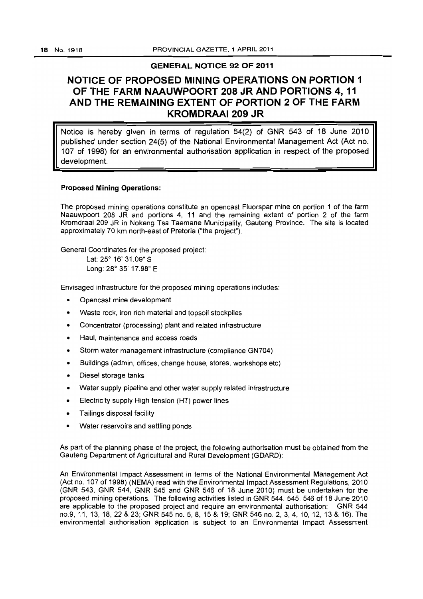### **GENERAL NOTICE 92 OF 2011**

# **NOTICE OF PROPOSED MINING OPERATIONS ON PORTION 1 OF THE FARM NAAUWPOORT 208 JR AND PORTIONS 4,11 AND THE REMAINING EXTENT OF PORTION 2 OF THE FARM KROMDRAAI 209 JR**

Notice is hereby given in terms of regulation 54(2) of GNR 543 of 18 June 2010 published under section 24(5) of the National Environmental Management Act (Act no. 107 of 1998) for an environmental authorisation application in respect of the proposed development.

### **Proposed Mining Operations:**

The proposed mining operations constitute an opencast Fluorspar mine on portion 1 of the farm Naauwpoort 208 JR and portions 4, 11 and the remaining extent of portion 2 of the farm Kromdraai 209 JR in Nokeng Tsa Taemane Municipality, Gauteng Province. The site is located approximately 70 km north-east of Pretoria ("the project").

General Coordinates for the proposed project:

Lat: *25°* 16' 31.09" S Long: *28°* 35' 17.98" E

Envisaged infrastructure for the proposed mining operations includes:

- Opencast mine development
- Waste rock, iron rich material and topsoil stockpiles
- Concentrator (processing) plant and related infrastructure
- Haul, maintenance and access roads
- Storm water management infrastructure (compliance GN704)
- Buildings (admin, offices, change house, stores, workshops etc)
- Diesel storage tanks
- Water supply pipeline and other water supply related infrastructure
- Electricity supply High tension (HT) power lines
- Tailings disposal facility
- Water reservoirs and settling ponds

As part of the planning phase of the project, the following authorisation must be obtained from the Gauteng Department of Agricultural and Rural Development (GDARD):

An Environmental Impact Assessment in terms of the National Environmental Management Act (Act no. 107 of 1998) (NEMA) read with the Environmental Impact Assessment Regulations, 2010 (GNR 543, GNR 544, GNR 545 and GNR 546 of 18 June 2010) must be undertaken for the proposed mining operations. The following activities listed in GNR 544, 545, 546 of 18 June 2010 are applicable to the proposed project and require an environmental authorisation: GNR 544 no.9, 11, 13, 18,22 & 23; GNR 545 no. 5, 8,15 & 19; GNR 546 no. 2, 3,4,10,12,13 & 16). The environmental authorisation application is subject to an Environmental Impact Assessment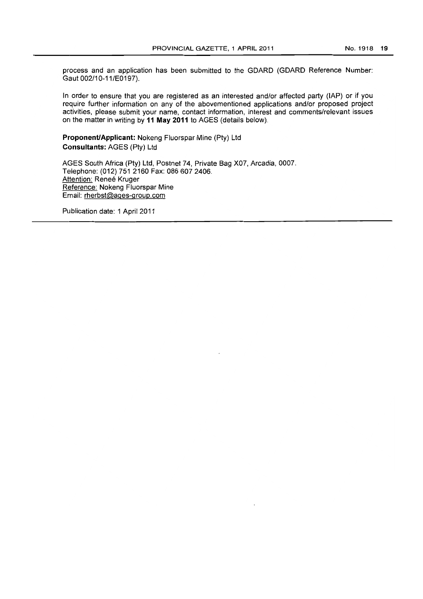process and an application has been submitted to the GOARD (GOARD Reference Number: Gaut 002/10-11/E0197).

In order to ensure that you are registered as an interested and/or affected party (lAP) or if you require further information on any of the abovementioned applications and/or proposed project activities, please submit your name, contact information, interest and comments/relevant issues on the matter in writing by **11 May 2011** to AGES (details below).

**Proponent/Applicant: Nokeng Fluorspar Mine (Pty) Ltd Consultants:** AGES (Pty) Ltd

AGES South Africa (Pty) Ltd, Postnet 74, Private Bag X07, Arcadia, 0007. Telephone: (012) 751 2160 Fax: 086 607 2406. Attention: Renee Kruger Reference: Nokeng Fluorspar Mine Email: rherbst@ages-group.com

Publication date: 1 April 2011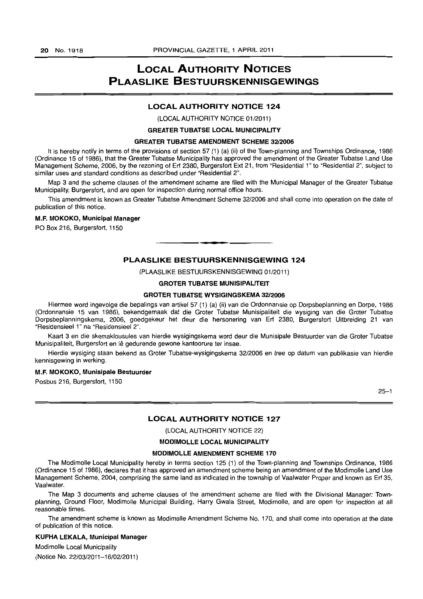# **LOCAL AUTHORITY NOTICES PLAASLIKE BESTUURSKENNISGEWINGS**

#### **LOCAL AUTHORITY NOTICE 124**

(LOCAL AUTHORITY NOTICE 01/2011)

#### **GREATER TUBATSE LOCAL MUNICIPALITY**

#### **GREATER TUBATSE AMENDMENT SCHEME 3212006**

It is hereby notify in terms of the provisions of section 57 (1) (a) (ii) of the Town-planning and Townships Ordinance, 1986 (Ordinance 15 of 1986), that the Greater Tubatse Municipality has approved the amendment of the Greater Tubatse Land Use Management Scheme, 2006, by the rezoning of Erf 2380, Burgersfort Ext 21, from "Residential 1" to "Residential 2", subject to similar uses and standard conditions as described under "Residential 2".

Map 3 and the scheme clauses of the amendment scheme are filed with the Municipal Manager of the Greater Tubatse Municipality, Burgersfort, and are open for inspection during normal office hours.

This amendment is known as Greater Tubatse Amendment Scheme 32/2006 and shall come into operation on the date of publication of this notice.

#### M.F. **MOKOKO, Municipal Manager**

PO Box 216, Burgersfort, 1150

#### **PLAASLIKE BESTUURSKENNISGEWING 124**

t **\_ •** 

(PLAASLIKE BESTUURSKENN1SGEWING 01/2011)

#### **GROTER TUBATSE MUNISIPALITEIT**

#### **GROTER TUBATSE WYSIGINGSKEMA 3212006**

Hiermee word ingevolge die bepalings van artikel 57 (1) (a) (ii) van die Ordonnansie op Dorpsbeplanning en Dorpe, 1986 (Ordonnansie 15 van 1986), bekendgemaak dat die Groter Tubatse Munisipaliteit die wysiging van die Groter Tubatse Dorpsbeplanningskema, 2006, goedgekeur het deur die hersonering van Erf 2380, Burgersfort Uitbreiding 21 van "Residensieel 1" na "Residensieel 2".

Kaart 3 en die skemaklousules van hierdie wysigingskema word deur die Munisipale Bestuurder van die Groter Tubatse Munisipaliteit, Burgersfort en lê gedurende gewone kantoorure ter insae.

Hierdie wysiging staan bekend as Groter Tubatse-wysigingskema 32/2006 en tree op datum van publikasie van hierdie kennisgewing in werking.

#### M.F. **MOKOKO, Munisipale Bestuurder**

Posbus 216, Burgersfort, 1150

 $25 - 1$ 

#### **LOCAL AUTHORITY NOTICE 127**

(LOCAL AUTHORITY NOTICE 22)

#### **MODIMOLLE LOCAL MUNICIPALITY**

#### **MODIMOLLE AMENDMENT SCHEME 170**

The Modimolle Local Municipality hereby in terms section 125 (1) of the Town-planning and Townships Ordinance, 1986 (Ordinance 15 of 1986), declares that it has approved an amendment scheme being an amendment of the Modimolle Land Use Management Scheme, 2004, comprising the same land as indicated in the township of Vaalwater Proper and known as Erf 35, Vaalwater.

The Map 3 documents and scheme clauses of the amendment scheme are filed with the Divisional Manager: Townplanning, Ground Floor, Modimolle Municipal Building, Harry Gwala Street, Modimolle, and are open for inspection at all reasonable times.

The amendment scheme is known as Modimolle Amendment Scheme No. 170, and shall come into operation at the date of publication of this notice.

#### **KUPHA LEKALA, Municipal Manager**

Modimolle Local Municipality

(Notice No. 22/03/2011-16/0212011)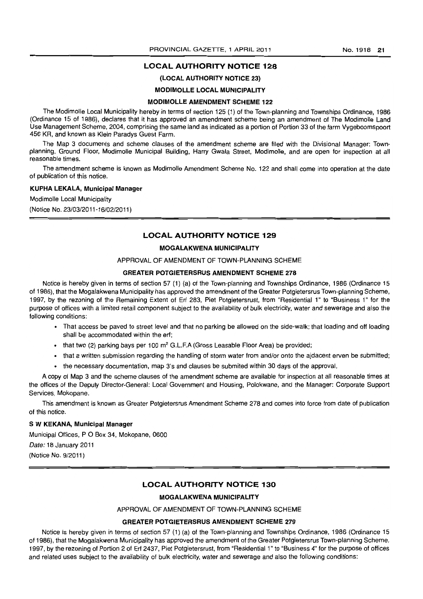### **LOCAL AUTHORITY NOTICE 128**

### (LOCAL AUTHORITY NOTICE 23)

#### MODIMOLLE LOCAL MUNICIPALITY

#### MODIMOLLE AMENDMENT SCHEME 122

The Modimolle Local Municipality hereby in terms of section 125 (1) of the Town-planning and Townships Ordinance, 1986 (Ordinance 15 of 1986), declares that it has approved an amendment scheme being an amendment of The Modimolle Land Use Management Scheme, 2004, comprising the same land as indicated as a portion of Portion 33 of the farm Vygeboomspoort 456 KR, and known as Klein Paradys Guest Farm.

The Map 3 documents and scheme clauses of the amendment scheme are filed with the Divisional Manager: Townplanning, Ground Floor, Modimolle Municipal Building, Harry Gwala Street, Modimolle, and are open for inspection at all reasonable times.

The amendment scheme is known as Modimolle Amendment Scheme No. 122 and shall come into operation at the date of publication of this notice.

#### KUPHA LEKALA, Municipal Manager

Modimolle Local Municipality

(Notice No. 23/03/2011-16/02/2011)

#### LOCAL AUTHORITV NOTICE 129

#### MOGALAKWENA MUNICIPALITY

#### APPROVAL OF AMENDMENT OF TOWN-PLANNING SCHEME

### GREATER POTGIETERSRUS AMENDMENT SCHEME 278

Notice is hereby given in terms of section 57 (1) (a) of the Town-planning and Townships Ordinance, 1986 (Ordinance 15 of 1986), that the Mogalakwena Municipality has approved the amendment of the Greater Potgietersrus Town-planning Scheme, 1997, by the rezoning of the Remaining Extent of Ert 283, Piet Potgietersrust, from "Residential 1" to "Business 1" for the purpose of offices with a limited retail component subject to the availability of bulk electricity, water and sewerage and also the following conditions:

- That access be paved to street level and that no parking be allowed on the side-walk; that loading and off loading shall be accommodated within the ert;
- $\bullet$  that two (2) parking bays per 100 m<sup>2</sup> G.L.F.A (Gross Leasable Floor Area) be provided;
- that a written submission regarding the handling of storm water from and/or onto the ajdacent erven be submitted;
- the necessary documentation, map 3's and clauses be submited within 30 days of the approval.

A copy 01 Map 3 and the scheme clauses of the amendment scheme are available for inspection at all reasonable times at the offices of the Deputy Director-General: Local Government and Housing, Polokwane, and the Manager: Corporate Support Services, Mokopane.

This amendment is known as Greater Potgietersrus Amendment Scheme 278 and comes into force from date of publication of this notice.

#### S W KEKANA, Municipal Manager

Municipal Offices, P O Box 34, Mokopane, 0600

Date: 18 January 2011

(Notice No. 9/2011 )

#### **LOCAL AUTHORITY NOTICE 130**

#### MOGALAKWENA MUNICIPALITY

APPROVAL OF AMENDMENT OF TOWN-PLANNING SCHEME

### GREATER POTGIETERSRUS AMENDMENT SCHEME 279

Notice is hereby given in terms of section 57 (1) (a) of the Town-planning and Townships Ordinance, 1986 (Ordinance 15 of 1986), that the Mogalakwena Municipality has approved the amendment of the Greater Potgietersrus Town-planning Scheme, 1997, by the rezoning of Portion 2 of Erf 2437, Piet Potgietersrust, from "Residential 1" to "Business 4" for the purpose of offices and related uses subject to the availability of bulk electricity, water and sewerage and also the following conditions: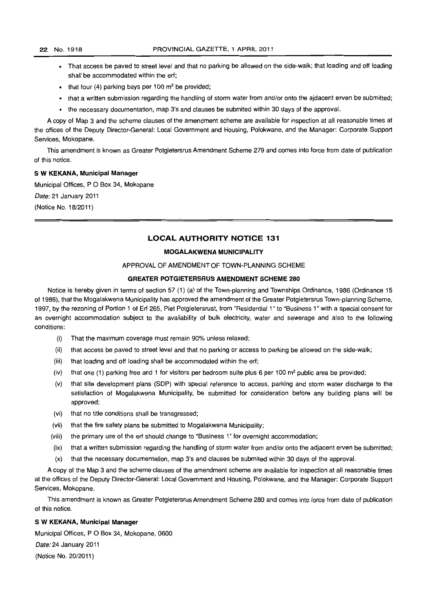- That access be paved to street level and that no parking be allowed on the side-walk; that loading and off loading shall be accommodated within the eri;
- that four (4) parking bays per 100  $m<sup>2</sup>$  be provided;
- that a written submission regarding the handling of storm water from and/or onto the ajdacent erven be submitted;
- the necessary documentation, map 3's and clauses be submited within 30 days of the approval.

A copy of Map 3 and the scheme clauses of the amendment scheme are available for inspection at all reasonable times at the offices of the Deputy Director-General: Local Government and Housing, Polokwane, and the Manager: Corporate Support Services, Mokopane.

This amendment is known as Greater Potgietersrus Amendment Scheme 279 and comes into force from date of publication of this notice.

### S W KEKANA, Municipal Manager

Municipal Offices, P O Box 34, Mokopane

Date: 21 January 2011

(Notice No. 18/2011)

### **LOCAL AUTHORITY NOTICE** 131

#### MOGALAKWENA MUNICIPALITY

### APPROVAL OF AMENDMENT OF TOWN-PLANNING SCHEME

### GREATER POTGIETERSRUS AMENDMENT SCHEME 280

Notice is hereby given in terms of section 57 (1) (a) of the Town-planning and Townships Ordinance, 1986 (Ordinance 15 of 1986), that the Mogalakwena Municipality has approved the amendment of the Greater Potgietersrus Town-planning Scheme, 1997, by the rezoning of Portion 1 of Eri 265, Piet Potgietersrust, from "Residential 1" to "Business 1" with a special consent for an overnight accommodation subject to the availability of bulk electricity, water and sewerage and also to the following conditions:

- (i) That the maximum coverage must remain 90% unless relaxed;
- (ii) that access be paved to street level and that no parking or access to parking be allowed on the side-walk;
- (iii) that loading and off loading shall be accommodated within the erf;
- (iv) that one (1) parking free and 1 for visitors per bedroom suite plus 6 per 100  $\text{m}^2$  public area be provided;
- (v) that site development plans (SOP) with special reference to access, parking and storm water discharge to the satisfaction of Mogalakwena Municipality, be submitted for consideration before any building plans will be approved;
- (vi) that no title conditions shall be transgressed;
- (vii) that the fire safety plans be submitted to Mogalakwena Municipality;
- (viii) the primary use of the eri should change to "Business 1" for overnight accommodation;
- (ix) that a written submission regarding the handling of storm water from and/or onto the adjacent erven be submitted;
- (x) that the necessary documentation, map 3's and clauses be submited within 30 days of the approval.

A copy of the Map 3 and the scheme clauses of the amendment scheme are available for inspection at all reasonable times at the offices of the Deputy Director-General: local Government and Housing, Polokwane, and the Manager: Corporate Support Services, Mokopane.

This amendment is known as Greater Potgietersrus Amendment Scheme 280 and comes into force from date of publication of this notice.

#### S W KEKANA, Municipal Manager

Municipal Offices, P O Box 34, Mokopane, 0600 Date: 24 January 2011

(Notice No. 20/2011)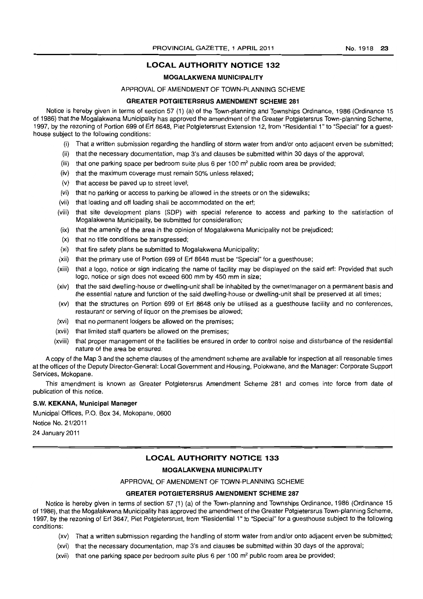### **LOCAL AUTHORITY NOTICE 132**

### MOGALAKWENA MUNICIPALITY

### APPROVAL OF AMENDMENT OF TOWN-PLANNING SCHEME

### GREATER POTGIETERSRUS AMENDMENT SCHEME 281

Notice is hereby given in terms of section 57 (1) (a) of the Town-planning and Townships Ordinance, 1986 (Ordinance 15 of 1986) that the Mogalakwena Municipality has approved the amendment of the Greater Potgietersrus Town-planning Scheme, 1997, by the rezoning of Portion 699 of Ert 8648, Piet Potgietersrust Extension 12, from "Residential 1 "to "Special" for a guesthouse subject to the following conditions:

- (i) That a written submission regarding the handling of storm water from and/or onto adjacent erven be submitted;
- (ii) that the necessary documentation, map 3's and clauses be submitted within 30 days of the approval;
- (iii) that one parking space per bedroom suite plus 6 per 100  $m<sup>2</sup>$  public room area be provided;
- (iv) that the maximum coverage must remain 50% unless relaxed;
- (v) that access be paved up to street level;
- (vi) that no parking or access to parking be allowed in the streets or on the sidewalks;
- (vii) that loading and off loading shall be accommodated on the ert;
- (viii) that site development plans (SOP) with special reference to access and parking to the satisfaction of Mogalakwena Municipality, be submitted for consideration;
- (ix) that the amenity of the area in the opinion of Mogalakwena Municipality not be prejudiced;
- (x) that no title conditions be transgressed;
- (xi) that fire safety plans be submitted to Mogalakwena Municipality;
- (xii) that the primary use of Portion 699 of Erf 8648 must be "Special" for a guesthouse;
- (xiii) that a logo, notice or sign indicating the name of facility may be displayed on the said ert: Provided that such logo, notice or sign does not exceed 600 mm by 450 mm in size;
- (xiv) that the said dwelling-house or dwelling-unit shall be inhabited by the owner/manager on a permanent basis and the essential nature and function of the said dwelling-house or dwelling-unit shall be preserved at all times;
- (xv) that the structures on Portion 699 of Ert 8648 only be utilised as a guesthouse facility and no conferences, restaurant or serving of liquor on the premises be allowed;
- (xvi) that no permanent lodgers be allowed on the premises;
- (xvii) that limited staff quarters be allowed on the premises;
- (xviii) that proper management of the facilities be ensured in order to control noise and disturbance of the residential nature of the area be ensured.

A copy of the Map 3 and the scheme clauses of the amendment scheme are available for inspection at all reasonable times at the offices of the Deputy Director-General: Local Government and Housing, Polokwane, and the Manager: Corporate Support Services, Mokopane.

This amendment is known as Greater Potgietersrus Amendment Scheme 281 and comes into force from date of publication of this notice.

#### S.W. KEKANA, Municipal Manager

Municipal Offices, P.O. Box 34, Mokopane, 0600

Notice No. 21/2011

24 January 2011

### **LOCAL AUTHORITY NOTICE 133**

#### MOGALAKWENA MUNICIPALITY

APPROVAL OF AMENDMENT OF TOWN-PLANNING SCHEME

#### GREATER POTGIETERSRUS AMENDMENT SCHEME 287

Notice is hereby given in terms of section 57 (1) (a) of the Town-planning and Townships Ordinance, 1986 (Ordinance 15 of 1986), that the Mogalakwena Municipality has approved the amendment of the Greater Potgietersrus Town-planning Scheme, 1997, by the rezoning of Ert 3647, Piet Potgietersrust, from "Residential 1" to "Special" for a guesthouse subject to the following conditions:

- (xv} That a written submission regarding the handling of storm water from and/or onto adjacent erven be submitted;
- (xvi) that the necessary documentation, map 3's and clauses be submitted within 30 days of the approval;
- (xvii) that one parking space per bedroom suite plus 6 per 100  $m^2$  public room area be provided;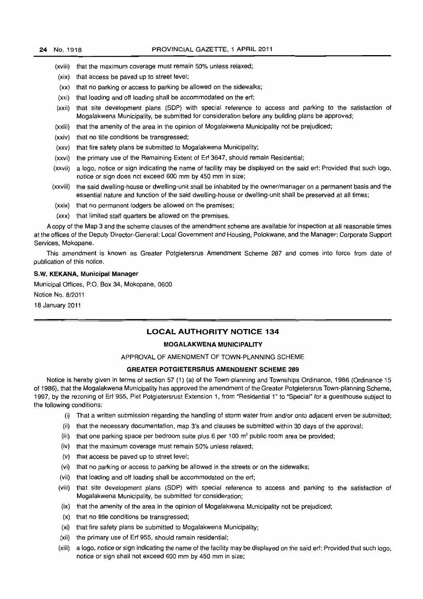- (xviii) that the maximum coverage must remain 50% unless relaxed;
- (xix) that access be paved up to street level;
- (xx) that no parking or access to parking be allowed on the sidewalks;
- (xxi) that loading and off loading shall be accommodated on the ert;
- (xxii) that site development plans (SOP) with special reference to access and parking to the satisfaction of Mogalakwena Municipality, be submitted for consideration before any building plans be approved;
- (xxiii) that the amenity of the area in the opinion of Mogalakwena Municipality not be prejudiced;
- (xxiv) that no title conditions be transgressed;
- (xxv) that fire safety plans be submitted to Mogalakwena Municipality;
- (xxvi) the primary use of the Remaining Extent of Erf 3647, should remain Residential;
- (xxvii) a logo, notice or sign indicating the name of facility may be displayed on the said erf: Provided that such logo, notice or sign does not exceed 600 mm by 450 mm in size;
- (xxviii) the said dwelling-house or dwelling-unit shall be inhabited by the owner/manager on a permanent basis and the essential nature and function of the said dwelling-house or dwelling-unit shall be preserved at all times;
- (xxix) that no permanent lodgers be allowed on the premises;
- (xxx) that limited staff quarters be allowed on the premises.

A copy of the Map 3 and the scheme clauses of the amendment scheme are available for inspection at all reasonable times at the offices of the Deputy Director-General: Local Government and Housing, Polokwane, and the Manager: Corporate Support Services, Mokopane.

This amendment is known as Greater Potgietersrus Amendment Scheme 287 and comes into force from date of publication of this notice.

#### S.W. **KEKANA, Municipal Manager**

Municipal Offices, P.O. Box 34, Mokopane, 0600

Notice No. 8/2011

18 January 2011

### **LOCAL AUTHORITY NOTICE 134**

#### **MOGALAKWENA MUNICIPALITY**

#### APPROVAL OF AMENDMENT OF TOWN-PLANNING SCHEME

#### **GREATER POTGIETERSRUS AMENDMENT SCHEME 289**

Notice is hereby given in terms of section 57 (1) (a) of the Town-planning and Townships Ordinance, 1986 (Ordinance 15 of 1986), that the Mogalakwena Municipality has approved the amendment of the Greater Potgietersrus Town-planning Scheme, 1997, by the rezoning of Erf 955, Piet Potgietersrust Extension 1, from "Residential 1" to "Special" for a guesthouse subject to the following conditions:

- (i) That a written submission regarding the handling of storm water from and/or onto adjacent erven be submitted;
- (ii) that the necessary documentation, map 3's and clauses be submitted within 30 days of the approval;
- (iii) that one parking space per bedroom suite plus 6 per 100  $m^2$  public room area be provided;
- (iv) that the maximum coverage must remain 50% unless relaxed;
- (v) that access be paved up to street level;
- (vi) that no parking or access to parking be allowed in the streets or on the sidewalks;
- (vii) that loading and off loading shall be accommodated on the erf;
- (viii) that site development plans (SOP) with special reference to access and parking to the satisfaction of Mogalakwena Municipality, be submitted for consideration;
- (ix) that the amenity of the area in the opinion of Mogalakwena Municipality not be prejudiced;
- (x) that no title conditions be transgressed;
- (xi) that fire safety plans be submitted to Mogalakwena Municipality;
- (xii) the primary use of Ert 955, should remain residential;
- (xiii) a logo, notice or sign indicating the name of the facility may be displayed on the said ert: Provided that such logo, notice or sign shall not exceed 600 mm by 450 mm in size;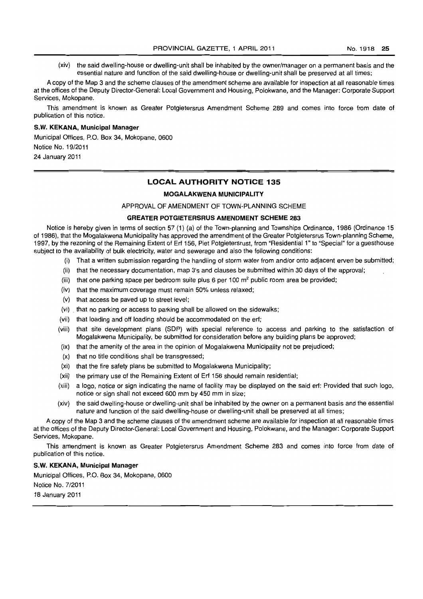(xiv) the said dwelling-house or dwelling-unit shall be inhabited by the owner/manager on a permanent basis and the essential nature and function of the said dwelling-house or dwelling-unit shall be preserved at all times;

A copy of the Map 3 and the scheme clauses of the amendment scheme are available for inspection at all reasonable times at the offices of the Deputy Director-General: Local Government and Housing, Polokwane, and the Manager: Corporate Support Services. Mokopane.

This amendment is known as Greater Potgietersrus Amendment Scheme 289 and comes into force from date of publication of this notice.

#### **S. W. KEKANA, Municipal Manager**

Municipal Offices, P.O. Box 34, Mokopane, 0600

Notice No. 19/2011

24 January 2011

#### **LOCAL AUTHORITY NOTICE 135**

#### **MOGALAKWENA MUNICIPALITY**

APPROVAL OF AMENDMENT OF TOWN-PLANNING SCHEME

#### **GREATER POTGIETERSRUS AMENDMENT SCHEME 283**

Notice is hereby given in terms of section 57 (1) (a) of the Town-planning and Townships Ordinance, 1986 (Ordinance 15 of 1986), that the Mogalakwena Municipality has approved the amendment of the Greater Potgietersrus Town-planning Scheme, 1997, by the rezoning of the Remaining Extent of Erf 156, Piet Potgietersrust, from "Residential 1" to "Special" for a guesthouse subject to the availability of bulk electricity, water and sewerage and also the following conditions:

- (i) That a written submission regarding the handling of storm water from and/or onto adjacent erven be submitted;
- (ii) that the necessary documentation, map 3's and clauses be submitted within 3D days of the approval;
- (iii) that one parking space per bedroom suite plus 6 per 100  $m^2$  public room area be provided;
- (iv) that the maximum coverage must remain 50% unless relaxed;
- (v) that access be paved up to street level;
- (vi) . that no parking or access to parking shall be allowed on the sidewalks;
- (vii) that loading and off loading should be accommodated on the erf;
- (viii) that site development plans (SOP) with special reference to access and parking to the satisfaction of Mogalakwena Municipality, be submitted for consideration before any building plans be approved;
- (ix) that the amenity of the area in the opinion of Mogalakwena Municipality not be prejudiced;
- (x) that no title conditions shall be transgressed;
- (xi) that the fire safety plans be submitted to Mogalakwena Municipality;
- (xii) the primary use of the Remaining Extent of Erf 156 should remain residential;
- (xiii) a logo, notice or sign indicating the name of facility may be displayed on the said erf: Provided that such logo, notice or sign shall not exceed BOD mm by 450 mm in size;
- (xiv) the said dwelling-house or dwelling-unit shall be inhabited by the owner on a permanent basis and the essential nature and function of the said dwelling-house or dwelling-unit shall be preserved at all times;

A copy of the Map 3 and the scheme clauses of the amendment scheme are available for inspection at all reasonable times at the offices of the Deputy Director-General: Local Government and Housing, Polokwane, and the Manager: Corporate Support Services, Mokopane.

This amendment is known as Greater Potgietersrus Amendment Scheme 283 and comes into force from date of publication of this notice.

#### **S.W. KEKANA, Municipal Manager**

Municipal Offices, P.O. Box 34, Mokopane, 0600

Notice No. 7/2011

18 January 2011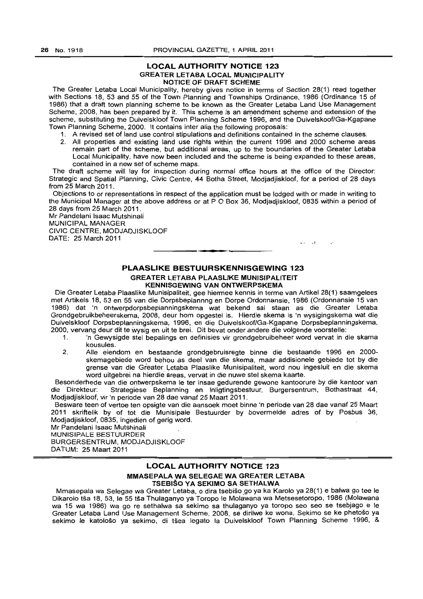#### LOCAL AUTHORITY NOTICE 123 GREATER LETABA LOCAL MUNICIPALITY NOTICE OF DRAFT SCHEME

The Greater Letaba Local Municipality, hereby gives notice in terms of Section 28(1) read together with Sections 18, 53 and 55 of the Town Planning and Townships Ordinance, 1986 (Ordinance 15 of 1986) that a draft town planning scheme to be known as the Greater Letaba Land Use Management Scheme, 2008, has been prepared by it. This scheme is an amendment scheme and extension of the scheme, substituting the Duivelskloof Town Planning Scheme 1996, and the Duivelskoof/Ga-Kgapane Town Planning Scheme, 2000. It contains inter alia the following proposals:

- 1. A revised set of land use control stipulations and definitions contained in the scheme clauses.
	- 2. All properties and extsting land use rights within the current 1996 and 2000 scheme areas remain part of the scheme, but additional areas, up to the boundaries of the Greater Letaba Local Municipality, have now been included and the scheme is being expanded to these areas, contained in a new set of scheme maps.

The draft scheme will lay for inspection during normal office hours at the office of the Director: Strategic and Spatial.Planning, Civic Centre, 44 Botha Street, Modjadjiskloof, for a period of 28 days from 25 March 2011. .

Objections to or representations in respect of the application must be lodged with or made in writing to the Municipal Manager at the above address or at P O Box 36, Modiadiiskloof, 0835 within a period of 28 days from 25 March 2011.

Mr Pandelani Isaac Mutshinali MUNICIPAL MANAGER CIVIC CENTRE, MODJADJISKLOOF DATE: 25 March 2011

### PLAASLIKE BESTUURSKENNISGEWING 123 GREATER LETABA PLAASLIKE MUNISIPALITEIT KENNISGEWING VAN ONTWERPSKEMA

<sup>I</sup>**••** 

 $\mathbf{u}$   $\mathbf{v}$ 

Die Greater Letaba Plaaslike Munisipaliteit, gee hiermee kennis in terme van Artikel 28(1) saamgelees met Artikels 18,53 en 55 van die Dorpsbeplannng en Dorpe Ordonnansie, 1986 (Ordonnansie 15 van 1986) dat 'n ontwerpdorpsbeplanningskema wat bekend sal staan as die Greater Letaba Grondgebruikbeheerskema, 2008, deur hom opgestel is. Hierdie skema is 'n wysigingskema wat die Duivelskloof Dorpsbeplanningskema, 1996, en die Duivelskoof/Ga-Kgapane Dorpsbeplanningskema, 2000, vervang deur dit te Wysig en uit te brei. Dit bevat onder andere die volgende voorstelle:

- 1. 'n Gewysigde stel bepalings en definisies vir grondgebruibeheer word vervat in die skama kousules.
- 2. Aile eiendom en bestaaride grondgebruisregte binne die bestaande 1996 en 2000 skemagebiede word behou as deel van die skema, maar addisionele gebiede tot by die grense van die Greater. Letaba Plaaslike Munisipaliteit, word nou ingesluit en die skema word uitgebrei na hierdie areas, vervat in die nuwe stel skema kaarte.

Besonderhede van die ontwerpskema Ie ter insae gedurende gewone kantoorure by die kantoor van die Direkteur: Strategiese Beplanning en Inligtingsbestuur, Burgersentrum, Bothastraat 44, Modjadjiskloof, vir'n periode van 28 dae vanaf 25 Maart 2011.

Besware teen of vertoe ten opsigte van die aansoek moet binne 'n periode van 28 dae vanaf 25 Maart 2011 skriftelik by of tot die Munisipale Bestuurder by bovermelde adres of by Posbus 36, Modiadiiskloof, 0835, ingedien of gerig word.

Mr Pandelani Isaac Mutshinali MUNISIPALE BESTU'URDER

BURGERSENTRUM, MODJADJISKLOOF DATUM: 25 Maart 2011

### LOCAL AUTHORITY NOTICE 123 MMASEPALAWA SELEGAE WA GREATER LETABA TSEBISO VA SEKIMO SA SETHALWA

Mmasepala wa Selegae wa Greater Letaba, o dira tsebišo go ya ka Karolo ya 28(1) e balwa go tee le Dikarolo tsa 18, 53, Ie 55 tsa Thulaganyo ya Toropo Ie Molawana wa Metsesetoropo, 1986 (Molawana wa 15 wa 1986) wa go re sethalwa sa sekimo sa thulaganyo ya toropo seo seo se tsebjago e Ie Greater Letaba Land Use Management Scheme, 2008, se dirilwe ke wona. Sekimo se ke phetošo ya sekimo le katološo ya sekimo, di tšea legato la Duivelskloof Town Planning Scheme 1996, &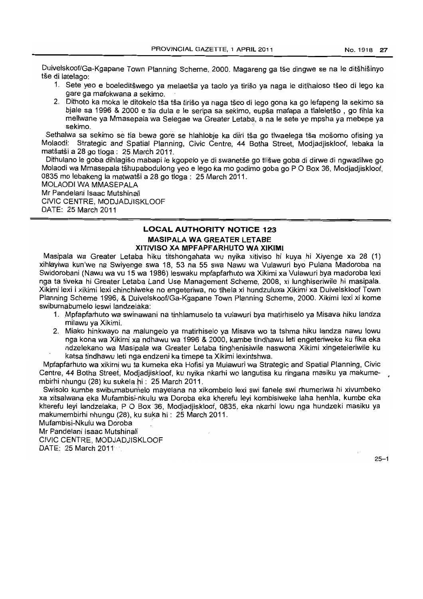Duivelskoof/Ga-Kgapane Town Planning Scheme, 2000. Magareng ga tše dingwe se na le ditšhišinyo tše di latelago:

- 1. Sete yeo e boeleditšwego va melaetša ya taolo ya tirišo ya naga le ditlhaloso tšeo di lego ka gare ga mafokwana a sekimo.
- 2. Dithoto ka moka le ditokelo tša tša tirišo ya naga tšeo di lego gona ka go lefapeng la sekimo sa bjale sa 1996 & 2000 e tla dula e Ie seripa sa sekimo, eupsa mafapa a tlaleletso , go fihla ka mellwane ya Mmasepala wa Selegae wa Greater Letaba, a na Ie sete ye mpsha ya mebepe ya sekimo.

Sethalwa sa sekimo se tla bewa gore se hlahlobje ka diiri tša go tlwaelega tša mošomo ofising ya Molaodi: Strategic and Spatial Planning, Civic Centre, 44 Botha Street, Modjadjiskloof, lebaka la matsatsi a 28 go tioga: 25 March 2011.

Dithulano le goba dihlagišo mabapi le kgopelo ye di swanetše go tlišwe goba di dirwe di ngwadilwe go Molaodi wa Mmasepala tšhupabodulong yeo e lego ka mo godimo goba go P O Box 36, Modiadiiskloof, 0835 mo lebakeng la matwatsi a 28 go tioga: 25 March 2011.

MOLAODI WA MMASEPALA Mr Pandelani Isaac Mutshinali CIVIC CENTRE, MODJADJISKLOOF DATE: 25 March 2011

### **LOCAL AUTHORITY NOTICE 123 MASIPALA WA GREATER LETABE XITIVISO XA MPFAPFARHUTO WA XIKIMI**

Masipala wa Greater Letaba hiku titshongahata wu nyika xitiviso hi kuya hi Xiyenge xa 28 (1) xihlayiwa kun'we na Swiyenge swa 18, 53 na 55 swa Nawu wa Vulawuri bye Pulana Madoroba na Swidorobani (Nawu wa vu 15 wa 1986) leswaku mpfapfarhuto wa Xikimi xa Vulawuri bya madoroba lexi nga ta tiveka hi Greater Letaba Land Use Management Scheme, 2008, xi lunghiseriwile hi masipala. Xikimi lexi i xikimi lexi chinchiweke no engeteriwa, no tlhela xi hundzuluxa Xikimi xa Duivelskloof Town Planning Scheme 1996, & Duivelskoof/Ga-Kgapane Town Planning Scheme, 2000. Xikimi lexi xi kome swibumabumelo leswi landzelaka:

- 1. Mpfapfarhuto wa swinawani na tinhlamuselo ta vulawuri bya matirhiselo ya Misava hiku landza milawu ya Xikimi. .
- 2. Miako hinkwayo na malungelo ya matirhiselo ya Misava wo ta tshma hiku landza nawu lowu nga kona wa Xikimi xa ndhawu wa 1996 & 2000, kambe tindhawu leti engeteriweke ku fika eka ndzelekano wa Masipala wa Greater Letaba tinghenisiwile naswona Xikimi xingeteleriwile ku katsa tindhawu leti nga endzeni ka timepe ta Xikimi lexintshwa.

Mpfapfarhuto wa xikimi wu ta kumeka eka Hofisi ya Mulawuri wa Strategic and Spatial Planning, Civic Centre, 44 Botha Street, Modjadjiskloof, ku nyika nkarhi wo langutisa ku ringana masiku ya makumembirhi nhungu (28) ku sukela hi $\div$  25 March 2011.

Swisolo kumbe swibumabumelo mayelana na xikombelo lexi swi fanele swi rhumeriwa hi xivumbeko xa xitsalwana eka Mufambisi-nkulu wa Doroba eka kherefu leyi kombisiweke laha henhla, kumbe eka kherefu leyi landzelaka; P 0 Box 36, Modjadjiskloof, 0835, eka nkarhi lowu nga hundzeki masiku ya makumembirhi nhungu (28), ku suka hi: 25 March 2011.

Mufambisi-Nkulu wa Doroba .

Mr Pandelani Isaac Mutshinali

CIVIC CENTRE, MODJADJISKLOOF DATE: 25 March 2011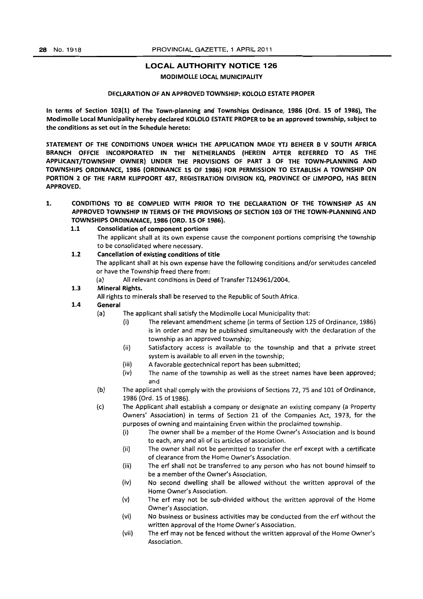#### LOCAL AUTHORITY NOTICE 126

#### MODIMOlLE LOCAL MUNICIPALITY

#### DECLARATION OF AN APPROVED TOWNSHIP: KOlOlO ESTATE PROPER

In terms of Section 103(1) of The Town-planning and Townships Ordinance, 1986 (Ord. 15 of 1986), The Modimolle local Municipality hereby declared KOlOlO ESTATE PROPER to be an approved township, subject to the conditions as set out in the Schedule hereto:

STATEMENT OF THE CONDITIONS UNDER WHICH THE APPLICATION MADE VTJ BEHEER B V SOUTH AFRICA BRANCH OFFCIE INCORPORATED IN THE NETHERLANDS (HEREIN AFTER REFERRED TO AS THE APPLICANT/TOWNSHIP OWNER) UNDER THE PROVISIONS OF PART 3 OF THE TOWN-PLANNING AND TOWNSHIPS ORDINANCE, 1986 (ORDINANCE 15 OF 1986) FOR PERMISSION TO ESTABLISH A TOWNSHIP ON PORTION 2 OF THE FARM KliPPOORT 487, REGISTRATION DIVISION KQ, PROVINCE OF LIMPOPO, HAS BEEN APPROVED.

1. CONDITIONS TO BE COMPLIED WITH PRIOR TO THE DECLARATION OF THE TOWNSHIP AS AN APPROVED TOWNSHIP IN TERMS OF THE PROVISIONS OF SECTION 103 OF THE TOWN-PLANNING AND TOWNSHIPS ORDINANACE, 1986 (ORO. 15 OF 1986).

#### 1.1 Consolidation of component portions

- The applicant shall at its own expense cause the component portions comprising the township to be consolidated where necessary.
- 1.2 Cancellation of existing conditions of title The applicant shall at his own expense have the following conditions and/or servitudes canceled or have the Township freed there from:
	- (a) All relevant conditions in Deed of Transfer T124961/2004.

### 1.3 Mineral Rights.

All rights to minerals shall be reserved to the Republic of South Africa.

### 1.4 General

- (al The applicant shall satisfy the Modimolle local Municipality that:
	- (i) The relevant amendment scheme (in terms of Section 125 of Ordinance, 1986) is in order and may be published simultaneously with the declaration of the township as an approved township;
	- (ii) Satisfactory access is available to the township and that a private street system is available to all erven in the township;
	- (iii) A favorable geotechnical report has been submitted;
	- (iv) The name of the township as well as the street names have been approved; and
- (b) The applicant shall comply with the provisions of Sections 72, 75 and 101 of Ordinance, 1986 (Ord. 15 of 1986).
- (c) The Applicant shall establish a company or designate an existing company (a Property Owners' Association) in terms of Section 21 of the Companies Act, 1973, for the purposes of owning and maintaining Erven within the proclaimed township.
	- (i) The owner shall be a member of the Home Owner's Association and is bound to each, any and all of its articles of association.
	- (ii) The owner shall not be permitted to transfer the erf except with a certificate of clearance from the Home Owner's Association.
	- (iii) The erf shall not be transferred to any person who has not bound himself to be a member of the Owner's Association.
	- (iv) No second dwelling shall be allowed without the written approval of the Home Owner's Association.
	- (v) The erf may not be sub-divided without the written approval of the Home Owner's Association.
	- (vi) No business or business activities may be conducted from the erf without the written approval of the Home Owner's Association.
	- (vii) The erf may not be fenced without the written approval of the Home Owner's Association.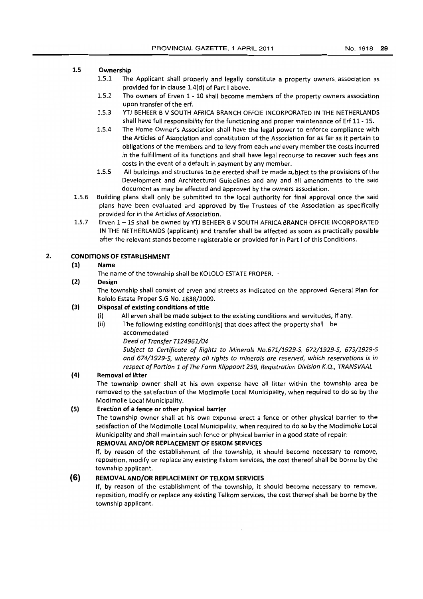### 1.5 Ownership

- 1.5.1 The Applicant shall properly and legally constitute a property owners association as provided for in clause 1.4(d) of Part I above.
- 1.5.2 The owners of Erven 1 10 shall become members of the property owners association upon transfer of the erf.
- 1.5.3 YTJ BEHEER B V SOUTH AFRICA BRANCH OFFCIE INCORPORATED IN THE NETHERLANDS shall have full responsibility for the functioning and proper maintenance of Erf 11 - 15.
- 1.5.4 The Home Owner's Association shall have the legal power to enforce compliance with the Articles of Association and constitution of the Association for as far as it pertain to obligations of the members and to levy from each and every member the costs incurred in the fulfillment of its functions and shall have legal recourse to recover such fees and costs in the event of a default in payment by any member.
- 1.5.5 All buildings and structures to be erected shall be made subject to the provisions of the Development and Architectural Guidelines and any and all amendments to the said document as may be affected and approved by the owners association.
- 1.5.6 Building plans shall only be submitted to the local authority for final approval once the said plans have been evaluated and approved by the Trustees of the Association as specifically provided for in the Articles of Association.
- 1.5.7 Erven 1-15 shall be owned by YTJ BEHEER B V SOUTH AFRICA BRANCH OFFCIE INCORPORATED IN THE NETHERLANDS (applicant) and transfer shall be affected as soon as practically possible after the relevant stands become registerable or provided for in Part I of this Conditions.

### 2. CONDITIONS OF ESTABLISHMENT

### (1) Name

The name of the township shall be KOLOLO ESTATE PROPER.  $\cdot$ 

### (2) Design

The township shall consist of erven and streets as indicated on the approved General Plan for Kololo Estate Proper S.G No. 1838/2009.

### (3) Disposal of existing conditions of title

- (i) All erven shall be made subject to the existing conditions and servitudes, if any.
- (ii) The following existing condition[sl that does affect the property shall be accommodated

Deed of Transfer T124961/04

Subject to Certificate of Rights to Minerals No.671/1929-S, 672/1929-5, 673/1929-5 and 674/1929-5, whereby all rights to minerals are reserved, which reservations is in respect of Portion 1 of The Farm Klippoort 259, Registration Division K.Q., TRANSVAAL

### (4) Removal of litter

The township owner shall at his own expense have all litter within the township area be removed to the satisfaction of the Modimolle local Municipality, when required to do so by the Modimolle Local Municipality.

#### (5) Erection of a fence or other physical barrier

The township owner shall at his own expense erect a fence or other physical barrier to the satisfaction of the Modimolle Local Municipality, when required to do so by the Modimolle local Municipality and shall maintain such fence or physical barrier in a good state of repair:

### REMOVAL AND/OR REPLACEMENT OF ESKOM SERVICES

If, by reason of the establishment of the township, it should become necessary to remove, reposition, modify or replace any existing Eskom services, the cost thereof shall be borne by the township applican':.

### **(6)** REMOVAL AND/OR REPLACEMENT OF TElKOM SERVICES

If, by reason of the establishment of the township, it should become necessary to remove, reposition, modify or replace any existing Telkom services, the cost thereof shall be borne by the township applicant.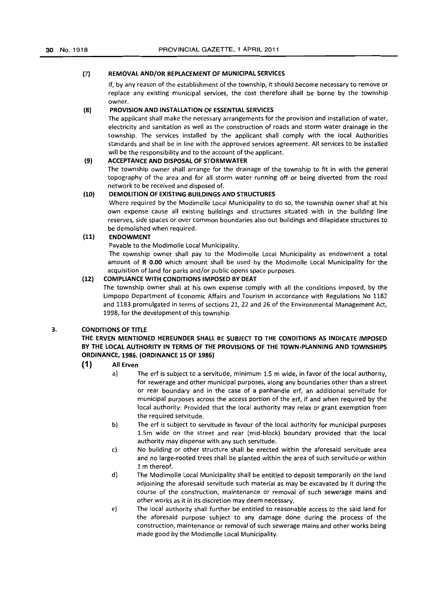#### (7) REMOVAL AND/OR REPLACEMENT OF MUNICIPAL SERVICES

If, by any reason of the establishment of the township, it should become necessary to remove or replace any existing municipal services, the cost therefore shall be borne by the township owner.

#### (8) PROVISION AND INSTALLATION OF ESSENTIAL SERVICES

The applicant shall make the necessary arrangements for the provision and installation of water, electricity and sanitation as well as the construction of roads and storm water drainage in the township. The services installed by the applicant shall comply with the local Authorities standards and shall be in line with the approved services agreement. All services to be installed will be the responsibility and to the account of the applicant.

### (9) ACCEPTANCE AND DISPOSAL OF STORMWATER

The township owner shall arrange for the drainage of the township to fit in with the general topography of the area and for all storm water running off or being diverted from the road network to be received and disposed of.

### (10) DEMOLITION OF EXISTING BUILDINGS AND STRUCTURES

Where required by the Modimolle Local Municipality to do so, the township owner shall at his own expense cause all existing buildings and structures situated with in the building line reserves, side spaces or over common boundaries also out buildings and dilapidate structures to be demolished when required.

#### (11) ENDOWMENT

Payable to the Modimolle Local Municipality.

The township owner shall pay to the Modimolle Local Municipality as endowment a total amount of R 0.00 which amount shall be used by the Modimolle Local Municipality for the acquisition of land for parks and/or public opens space purposes.

### (12) COMPLIANCE WITH CONDITIONS IMPOSED BY DEAT

The township owner shall at his own expense comply with all the conditions imposed, by the Limpopo Department of Economic Affairs and Tourism in accordance with Regulations No 1182 and 1183 promulgated in terms of sections 21, 22 and 26 of the Environmental Management Act, 1998, for the development of this township.

#### 3. CONDITIONS OF TITLE

### THE ERVEN MENTIONED HEREUNDER SHALL BE SUBJECT TO THE CONDITIONS AS INDICATE IMPOSED BY THE LOCAL AUTHORITY IN TERMS OF THE PROVISIONS OF THE TOWN-PLANNING AND TOWNSHIPS ORDINANCE, 1986. (ORDINANCE 15 OF 1986)

### (1) All Erven

- a) The erf is subject to a servitude, minimum 1.S m wide, in favor of the local authority, for sewerage and other municipal purposes, along any boundaries other than a street or rear boundary and in the case of a panhandle erf, an additional servitude for municipal purposes across the access portion of the erf, if and when required by the local authority: Provided that the local authority may relax or grant exemption from the required servitude.
- b) The erf is subject to servitude in favour of the local authority for municipal purposes 1.5m wide on the street and rear (mid-block) boundary provided that the local authority may dispense with any such servitude.
- c) No building or other structure shall be erected within the aforesaid servitude area and no large-rooted trees shall be planted within the area of such servitude or within 1 m thereof.
- d) The Modimolle Local Municipality shall be entitled to deposit temporarily on the land adjoining the aforesaid servitude such material as may be excavated by it during the course of the construction, maintenance or removal of such sewerage mains and other works as it in its discretion may deem necessary.
- e) The local authority shall further be entitled to reasonable access to the said land for the aforesaid purpose subject to any damage done during the process of the construction, maintenance or removal of such sewerage mains and other works being made good by the Modimolle Local Municipality.